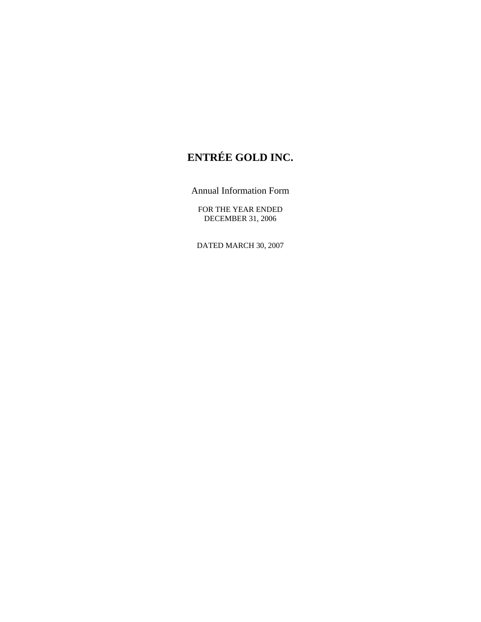# **ENTRÉE GOLD INC.**

Annual Information Form

FOR THE YEAR ENDED DECEMBER 31, 2006

DATED MARCH 30, 2007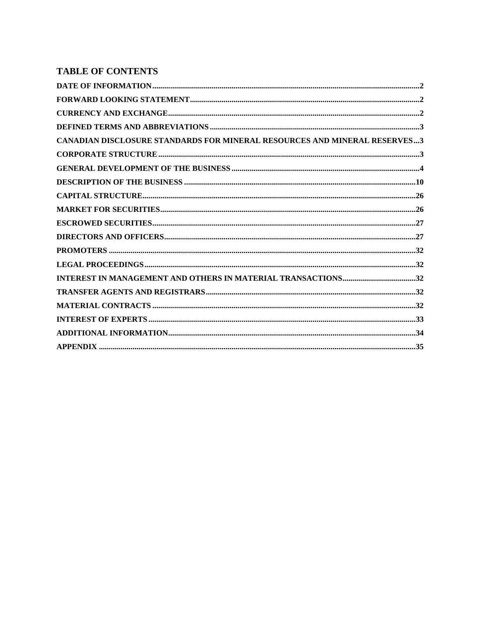## **TABLE OF CONTENTS**

| <b>CANADIAN DISCLOSURE STANDARDS FOR MINERAL RESOURCES AND MINERAL RESERVES3</b> |  |
|----------------------------------------------------------------------------------|--|
|                                                                                  |  |
|                                                                                  |  |
|                                                                                  |  |
|                                                                                  |  |
|                                                                                  |  |
|                                                                                  |  |
|                                                                                  |  |
|                                                                                  |  |
|                                                                                  |  |
|                                                                                  |  |
|                                                                                  |  |
|                                                                                  |  |
|                                                                                  |  |
|                                                                                  |  |
|                                                                                  |  |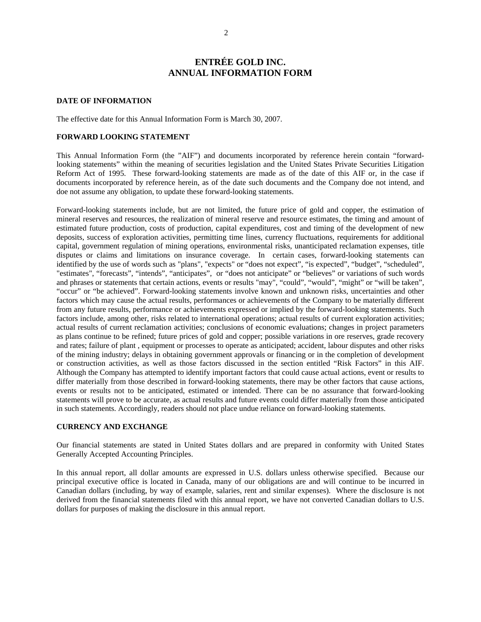## **ENTRÉE GOLD INC. ANNUAL INFORMATION FORM**

#### **DATE OF INFORMATION**

The effective date for this Annual Information Form is March 30, 2007.

#### **FORWARD LOOKING STATEMENT**

This Annual Information Form (the "AIF") and documents incorporated by reference herein contain "forwardlooking statements" within the meaning of securities legislation and the United States Private Securities Litigation Reform Act of 1995. These forward-looking statements are made as of the date of this AIF or, in the case if documents incorporated by reference herein, as of the date such documents and the Company doe not intend, and doe not assume any obligation, to update these forward-looking statements.

Forward-looking statements include, but are not limited, the future price of gold and copper, the estimation of mineral reserves and resources, the realization of mineral reserve and resource estimates, the timing and amount of estimated future production, costs of production, capital expenditures, cost and timing of the development of new deposits, success of exploration activities, permitting time lines, currency fluctuations, requirements for additional capital, government regulation of mining operations, environmental risks, unanticipated reclamation expenses, title disputes or claims and limitations on insurance coverage. In certain cases, forward-looking statements can identified by the use of words such as "plans", "expects" or "does not expect", "is expected", "budget", "scheduled", "estimates", "forecasts", "intends", "anticipates", or "does not anticipate" or "believes" or variations of such words and phrases or statements that certain actions, events or results "may", "could", "would", "might" or "will be taken", "occur" or "be achieved". Forward-looking statements involve known and unknown risks, uncertainties and other factors which may cause the actual results, performances or achievements of the Company to be materially different from any future results, performance or achievements expressed or implied by the forward-looking statements. Such factors include, among other, risks related to international operations; actual results of current exploration activities; actual results of current reclamation activities; conclusions of economic evaluations; changes in project parameters as plans continue to be refined; future prices of gold and copper; possible variations in ore reserves, grade recovery and rates; failure of plant , equipment or processes to operate as anticipated; accident, labour disputes and other risks of the mining industry; delays in obtaining government approvals or financing or in the completion of development or construction activities, as well as those factors discussed in the section entitled "Risk Factors" in this AIF. Although the Company has attempted to identify important factors that could cause actual actions, event or results to differ materially from those described in forward-looking statements, there may be other factors that cause actions, events or results not to be anticipated, estimated or intended. There can be no assurance that forward-looking statements will prove to be accurate, as actual results and future events could differ materially from those anticipated in such statements. Accordingly, readers should not place undue reliance on forward-looking statements.

#### **CURRENCY AND EXCHANGE**

Our financial statements are stated in United States dollars and are prepared in conformity with United States Generally Accepted Accounting Principles.

In this annual report, all dollar amounts are expressed in U.S. dollars unless otherwise specified. Because our principal executive office is located in Canada, many of our obligations are and will continue to be incurred in Canadian dollars (including, by way of example, salaries, rent and similar expenses). Where the disclosure is not derived from the financial statements filed with this annual report, we have not converted Canadian dollars to U.S. dollars for purposes of making the disclosure in this annual report.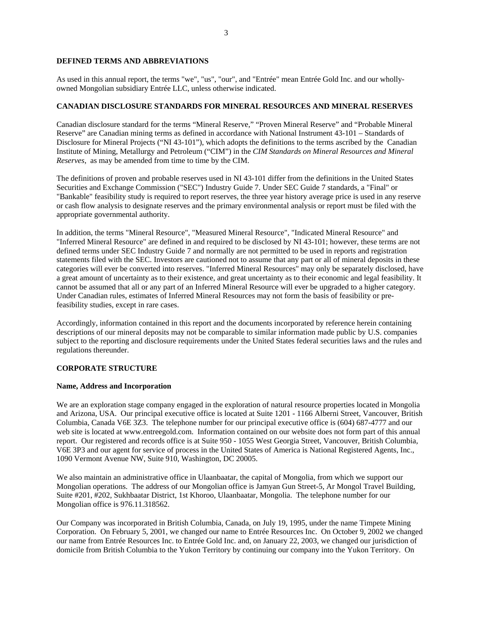## **DEFINED TERMS AND ABBREVIATIONS**

As used in this annual report, the terms "we", "us", "our", and "Entrée" mean Entrée Gold Inc. and our whollyowned Mongolian subsidiary Entrée LLC, unless otherwise indicated.

#### **CANADIAN DISCLOSURE STANDARDS FOR MINERAL RESOURCES AND MINERAL RESERVES**

Canadian disclosure standard for the terms "Mineral Reserve," "Proven Mineral Reserve" and "Probable Mineral Reserve" are Canadian mining terms as defined in accordance with National Instrument 43-101 – Standards of Disclosure for Mineral Projects ("NI 43-101"), which adopts the definitions to the terms ascribed by the Canadian Institute of Mining, Metallurgy and Petroleum ("CIM") in the *CIM Standards on Mineral Resources and Mineral Reserves*, as may be amended from time to time by the CIM.

The definitions of proven and probable reserves used in NI 43-101 differ from the definitions in the United States Securities and Exchange Commission ("SEC") Industry Guide 7. Under SEC Guide 7 standards, a "Final" or "Bankable" feasibility study is required to report reserves, the three year history average price is used in any reserve or cash flow analysis to designate reserves and the primary environmental analysis or report must be filed with the appropriate governmental authority.

In addition, the terms "Mineral Resource", "Measured Mineral Resource", "Indicated Mineral Resource" and "Inferred Mineral Resource" are defined in and required to be disclosed by NI 43-101; however, these terms are not defined terms under SEC Industry Guide 7 and normally are not permitted to be used in reports and registration statements filed with the SEC. Investors are cautioned not to assume that any part or all of mineral deposits in these categories will ever be converted into reserves. "Inferred Mineral Resources" may only be separately disclosed, have a great amount of uncertainty as to their existence, and great uncertainty as to their economic and legal feasibility. It cannot be assumed that all or any part of an Inferred Mineral Resource will ever be upgraded to a higher category. Under Canadian rules, estimates of Inferred Mineral Resources may not form the basis of feasibility or prefeasibility studies, except in rare cases.

Accordingly, information contained in this report and the documents incorporated by reference herein containing descriptions of our mineral deposits may not be comparable to similar information made public by U.S. companies subject to the reporting and disclosure requirements under the United States federal securities laws and the rules and regulations thereunder.

#### **CORPORATE STRUCTURE**

#### **Name, Address and Incorporation**

We are an exploration stage company engaged in the exploration of natural resource properties located in Mongolia and Arizona, USA. Our principal executive office is located at Suite 1201 - 1166 Alberni Street, Vancouver, British Columbia, Canada V6E 3Z3. The telephone number for our principal executive office is (604) 687-4777 and our web site is located at www.entreegold.com. Information contained on our website does not form part of this annual report. Our registered and records office is at Suite 950 - 1055 West Georgia Street, Vancouver, British Columbia, V6E 3P3 and our agent for service of process in the United States of America is National Registered Agents, Inc., 1090 Vermont Avenue NW, Suite 910, Washington, DC 20005.

We also maintain an administrative office in Ulaanbaatar, the capital of Mongolia, from which we support our Mongolian operations. The address of our Mongolian office is Jamyan Gun Street-5, Ar Mongol Travel Building, Suite #201, #202, Sukhbaatar District, 1st Khoroo, Ulaanbaatar, Mongolia. The telephone number for our Mongolian office is 976.11.318562.

Our Company was incorporated in British Columbia, Canada, on July 19, 1995, under the name Timpete Mining Corporation. On February 5, 2001, we changed our name to Entrée Resources Inc. On October 9, 2002 we changed our name from Entrée Resources Inc. to Entrée Gold Inc. and, on January 22, 2003, we changed our jurisdiction of domicile from British Columbia to the Yukon Territory by continuing our company into the Yukon Territory. On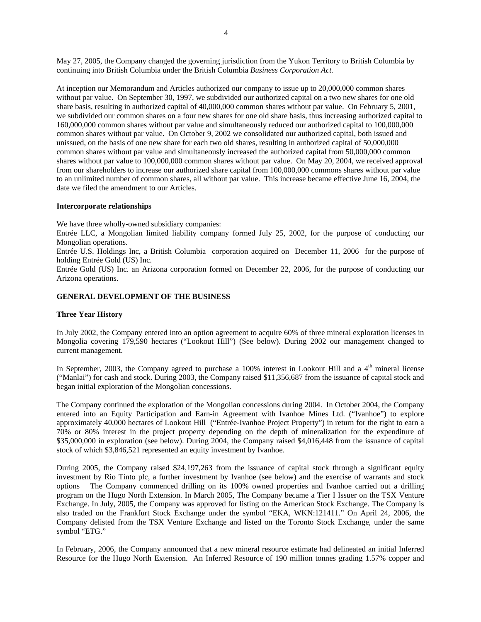May 27, 2005, the Company changed the governing jurisdiction from the Yukon Territory to British Columbia by continuing into British Columbia under the British Columbia *Business Corporation Act.*

At inception our Memorandum and Articles authorized our company to issue up to 20,000,000 common shares without par value. On September 30, 1997, we subdivided our authorized capital on a two new shares for one old share basis, resulting in authorized capital of 40,000,000 common shares without par value. On February 5, 2001, we subdivided our common shares on a four new shares for one old share basis, thus increasing authorized capital to 160,000,000 common shares without par value and simultaneously reduced our authorized capital to 100,000,000 common shares without par value. On October 9, 2002 we consolidated our authorized capital, both issued and unissued, on the basis of one new share for each two old shares, resulting in authorized capital of 50,000,000 common shares without par value and simultaneously increased the authorized capital from 50,000,000 common shares without par value to 100,000,000 common shares without par value. On May 20, 2004, we received approval from our shareholders to increase our authorized share capital from 100,000,000 commons shares without par value to an unlimited number of common shares, all without par value. This increase became effective June 16, 2004, the date we filed the amendment to our Articles.

#### **Intercorporate relationships**

We have three wholly-owned subsidiary companies:

Entrée LLC, a Mongolian limited liability company formed July 25, 2002, for the purpose of conducting our Mongolian operations.

Entrée U.S. Holdings Inc, a British Columbia corporation acquired on December 11, 2006 for the purpose of holding Entrée Gold (US) Inc.

Entrée Gold (US) Inc. an Arizona corporation formed on December 22, 2006, for the purpose of conducting our Arizona operations.

#### **GENERAL DEVELOPMENT OF THE BUSINESS**

#### **Three Year History**

In July 2002, the Company entered into an option agreement to acquire 60% of three mineral exploration licenses in Mongolia covering 179,590 hectares ("Lookout Hill") (See below). During 2002 our management changed to current management.

In September, 2003, the Company agreed to purchase a  $100\%$  interest in Lookout Hill and a  $4<sup>th</sup>$  mineral license ("Manlai") for cash and stock. During 2003, the Company raised \$11,356,687 from the issuance of capital stock and began initial exploration of the Mongolian concessions.

The Company continued the exploration of the Mongolian concessions during 2004. In October 2004, the Company entered into an Equity Participation and Earn-in Agreement with Ivanhoe Mines Ltd. ("Ivanhoe") to explore approximately 40,000 hectares of Lookout Hill ("Entrée-Ivanhoe Project Property") in return for the right to earn a 70% or 80% interest in the project property depending on the depth of mineralization for the expenditure of \$35,000,000 in exploration (see below). During 2004, the Company raised \$4,016,448 from the issuance of capital stock of which \$3,846,521 represented an equity investment by Ivanhoe.

During 2005, the Company raised \$24,197,263 from the issuance of capital stock through a significant equity investment by Rio Tinto plc, a further investment by Ivanhoe (see below) and the exercise of warrants and stock options The Company commenced drilling on its 100% owned properties and Ivanhoe carried out a drilling program on the Hugo North Extension. In March 2005, The Company became a Tier I Issuer on the TSX Venture Exchange. In July, 2005, the Company was approved for listing on the American Stock Exchange. The Company is also traded on the Frankfurt Stock Exchange under the symbol "EKA, WKN:121411." On April 24, 2006, the Company delisted from the TSX Venture Exchange and listed on the Toronto Stock Exchange, under the same symbol "ETG."

In February, 2006, the Company announced that a new mineral resource estimate had delineated an initial Inferred Resource for the Hugo North Extension. An Inferred Resource of 190 million tonnes grading 1.57% copper and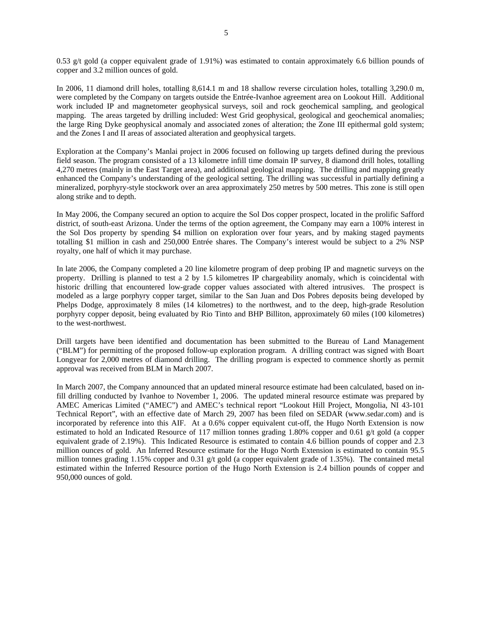0.53 g/t gold (a copper equivalent grade of 1.91%) was estimated to contain approximately 6.6 billion pounds of copper and 3.2 million ounces of gold.

In 2006, 11 diamond drill holes, totalling 8,614.1 m and 18 shallow reverse circulation holes, totalling 3,290.0 m, were completed by the Company on targets outside the Entrée-Ivanhoe agreement area on Lookout Hill. Additional work included IP and magnetometer geophysical surveys, soil and rock geochemical sampling, and geological mapping. The areas targeted by drilling included: West Grid geophysical, geological and geochemical anomalies; the large Ring Dyke geophysical anomaly and associated zones of alteration; the Zone III epithermal gold system; and the Zones I and II areas of associated alteration and geophysical targets.

Exploration at the Company's Manlai project in 2006 focused on following up targets defined during the previous field season. The program consisted of a 13 kilometre infill time domain IP survey, 8 diamond drill holes, totalling 4,270 metres (mainly in the East Target area), and additional geological mapping. The drilling and mapping greatly enhanced the Company's understanding of the geological setting. The drilling was successful in partially defining a mineralized, porphyry-style stockwork over an area approximately 250 metres by 500 metres. This zone is still open along strike and to depth.

In May 2006, the Company secured an option to acquire the Sol Dos copper prospect, located in the prolific Safford district, of south-east Arizona. Under the terms of the option agreement, the Company may earn a 100% interest in the Sol Dos property by spending \$4 million on exploration over four years, and by making staged payments totalling \$1 million in cash and 250,000 Entrée shares. The Company's interest would be subject to a 2% NSP royalty, one half of which it may purchase.

In late 2006, the Company completed a 20 line kilometre program of deep probing IP and magnetic surveys on the property. Drilling is planned to test a 2 by 1.5 kilometres IP chargeability anomaly, which is coincidental with historic drilling that encountered low-grade copper values associated with altered intrusives. The prospect is modeled as a large porphyry copper target, similar to the San Juan and Dos Pobres deposits being developed by Phelps Dodge, approximately 8 miles (14 kilometres) to the northwest, and to the deep, high-grade Resolution porphyry copper deposit, being evaluated by Rio Tinto and BHP Billiton, approximately 60 miles (100 kilometres) to the west-northwest.

Drill targets have been identified and documentation has been submitted to the Bureau of Land Management ("BLM") for permitting of the proposed follow-up exploration program. A drilling contract was signed with Boart Longyear for 2,000 metres of diamond drilling. The drilling program is expected to commence shortly as permit approval was received from BLM in March 2007.

In March 2007, the Company announced that an updated mineral resource estimate had been calculated, based on infill drilling conducted by Ivanhoe to November 1, 2006. The updated mineral resource estimate was prepared by AMEC Americas Limited ("AMEC") and AMEC's technical report "Lookout Hill Project, Mongolia, NI 43-101 Technical Report", with an effective date of March 29, 2007 has been filed on SEDAR (www.sedar.com) and is incorporated by reference into this AIF. At a 0.6% copper equivalent cut-off, the Hugo North Extension is now estimated to hold an Indicated Resource of 117 million tonnes grading 1.80% copper and 0.61 g/t gold (a copper equivalent grade of 2.19%). This Indicated Resource is estimated to contain 4.6 billion pounds of copper and 2.3 million ounces of gold. An Inferred Resource estimate for the Hugo North Extension is estimated to contain 95.5 million tonnes grading 1.15% copper and 0.31 g/t gold (a copper equivalent grade of 1.35%). The contained metal estimated within the Inferred Resource portion of the Hugo North Extension is 2.4 billion pounds of copper and 950,000 ounces of gold.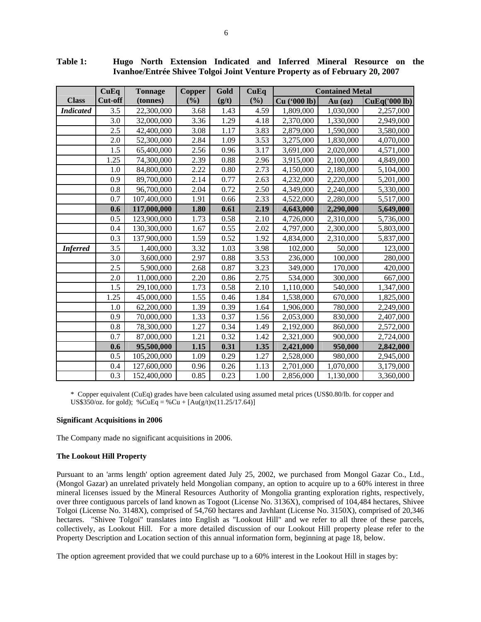|                  | CuEq    | <b>Tonnage</b> | <b>Copper</b> | Gold  | CuEq   | <b>Contained Metal</b> |           |               |
|------------------|---------|----------------|---------------|-------|--------|------------------------|-----------|---------------|
| <b>Class</b>     | Cut-off | (tonnes)       | (%)           | (g/t) | $(\%)$ | Cu ('000 lb)           | $Au$ (oz) | CuEq('000 lb) |
| <b>Indicated</b> | 3.5     | 22,300,000     | 3.68          | 1.43  | 4.59   | 1,809,000              | 1,030,000 | 2,257,000     |
|                  | 3.0     | 32,000,000     | 3.36          | 1.29  | 4.18   | 2,370,000              | 1,330,000 | 2,949,000     |
|                  | 2.5     | 42,400,000     | 3.08          | 1.17  | 3.83   | 2,879,000              | 1,590,000 | 3,580,000     |
|                  | 2.0     | 52,300,000     | 2.84          | 1.09  | 3.53   | 3,275,000              | 1,830,000 | 4,070,000     |
|                  | 1.5     | 65,400,000     | 2.56          | 0.96  | 3.17   | 3,691,000              | 2,020,000 | 4,571,000     |
|                  | 1.25    | 74,300,000     | 2.39          | 0.88  | 2.96   | 3,915,000              | 2,100,000 | 4,849,000     |
|                  | 1.0     | 84,800,000     | 2.22          | 0.80  | 2.73   | 4,150,000              | 2,180,000 | 5,104,000     |
|                  | 0.9     | 89,700,000     | 2.14          | 0.77  | 2.63   | 4,232,000              | 2,220,000 | 5,201,000     |
|                  | 0.8     | 96,700,000     | 2.04          | 0.72  | 2.50   | 4,349,000              | 2,240,000 | 5,330,000     |
|                  | 0.7     | 107,400,000    | 1.91          | 0.66  | 2.33   | 4,522,000              | 2,280,000 | 5,517,000     |
|                  | 0.6     | 117,000,000    | 1.80          | 0.61  | 2.19   | 4,643,000              | 2,290,000 | 5,649,000     |
|                  | 0.5     | 123,900,000    | 1.73          | 0.58  | 2.10   | 4,726,000              | 2,310,000 | 5,736,000     |
|                  | 0.4     | 130,300,000    | 1.67          | 0.55  | 2.02   | 4,797,000              | 2,300,000 | 5,803,000     |
|                  | 0.3     | 137,900,000    | 1.59          | 0.52  | 1.92   | 4,834,000              | 2,310,000 | 5,837,000     |
| <b>Inferred</b>  | 3.5     | 1,400,000      | 3.32          | 1.03  | 3.98   | 102,000                | 50,000    | 123,000       |
|                  | 3.0     | 3,600,000      | 2.97          | 0.88  | 3.53   | 236,000                | 100,000   | 280,000       |
|                  | 2.5     | 5,900,000      | 2.68          | 0.87  | 3.23   | 349,000                | 170,000   | 420,000       |
|                  | 2.0     | 11,000,000     | 2.20          | 0.86  | 2.75   | 534,000                | 300,000   | 667,000       |
|                  | 1.5     | 29,100,000     | 1.73          | 0.58  | 2.10   | 1,110,000              | 540,000   | 1,347,000     |
|                  | 1.25    | 45,000,000     | 1.55          | 0.46  | 1.84   | 1,538,000              | 670,000   | 1,825,000     |
|                  | 1.0     | 62,200,000     | 1.39          | 0.39  | 1.64   | 1,906,000              | 780,000   | 2,249,000     |
|                  | 0.9     | 70,000,000     | 1.33          | 0.37  | 1.56   | 2,053,000              | 830,000   | 2,407,000     |
|                  | 0.8     | 78,300,000     | 1.27          | 0.34  | 1.49   | 2,192,000              | 860,000   | 2,572,000     |
|                  | 0.7     | 87,000,000     | 1.21          | 0.32  | 1.42   | 2,321,000              | 900,000   | 2,724,000     |
|                  | 0.6     | 95,500,000     | 1.15          | 0.31  | 1.35   | 2,421,000              | 950,000   | 2,842,000     |
|                  | 0.5     | 105,200,000    | 1.09          | 0.29  | 1.27   | 2,528,000              | 980,000   | 2,945,000     |
|                  | 0.4     | 127,600,000    | 0.96          | 0.26  | 1.13   | 2,701,000              | 1,070,000 | 3,179,000     |
|                  | 0.3     | 152,400,000    | 0.85          | 0.23  | 1.00   | 2,856,000              | 1,130,000 | 3,360,000     |

**Table 1: Hugo North Extension Indicated and Inferred Mineral Resource on the Ivanhoe/Entrée Shivee Tolgoi Joint Venture Property as of February 20, 2007** 

\* Copper equivalent (CuEq) grades have been calculated using assumed metal prices (US\$0.80/lb. for copper and US\$350/oz. for gold); %CuEq = %Cu +  $[Au(g/t)x(11.25/17.64)]$ 

#### **Significant Acquisitions in 2006**

The Company made no significant acquisitions in 2006.

#### **The Lookout Hill Property**

Pursuant to an 'arms length' option agreement dated July 25, 2002, we purchased from Mongol Gazar Co., Ltd., (Mongol Gazar) an unrelated privately held Mongolian company, an option to acquire up to a 60% interest in three mineral licenses issued by the Mineral Resources Authority of Mongolia granting exploration rights, respectively, over three contiguous parcels of land known as Togoot (License No. 3136X), comprised of 104,484 hectares, Shivee Tolgoi (License No. 3148X), comprised of 54,760 hectares and Javhlant (License No. 3150X), comprised of 20,346 hectares. "Shivee Tolgoi" translates into English as "Lookout Hill" and we refer to all three of these parcels, collectively, as Lookout Hill. For a more detailed discussion of our Lookout Hill property please refer to the Property Description and Location section of this annual information form, beginning at page 18, below.

The option agreement provided that we could purchase up to a 60% interest in the Lookout Hill in stages by: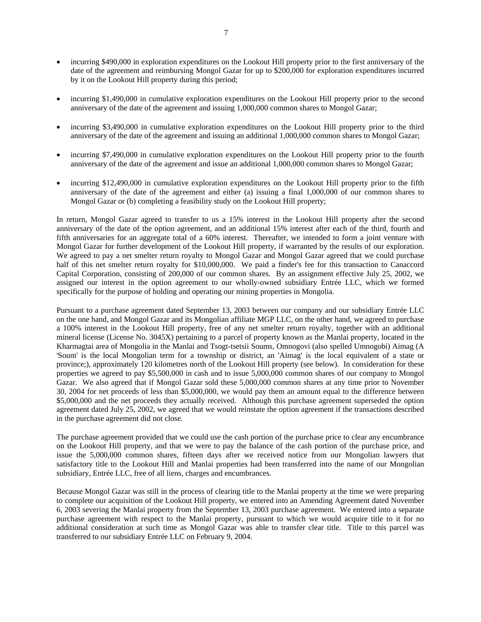- incurring \$490,000 in exploration expenditures on the Lookout Hill property prior to the first anniversary of the date of the agreement and reimbursing Mongol Gazar for up to \$200,000 for exploration expenditures incurred by it on the Lookout Hill property during this period;
- incurring \$1,490,000 in cumulative exploration expenditures on the Lookout Hill property prior to the second anniversary of the date of the agreement and issuing 1,000,000 common shares to Mongol Gazar;
- incurring \$3,490,000 in cumulative exploration expenditures on the Lookout Hill property prior to the third anniversary of the date of the agreement and issuing an additional 1,000,000 common shares to Mongol Gazar;
- incurring \$7,490,000 in cumulative exploration expenditures on the Lookout Hill property prior to the fourth anniversary of the date of the agreement and issue an additional 1,000,000 common shares to Mongol Gazar;
- incurring \$12,490,000 in cumulative exploration expenditures on the Lookout Hill property prior to the fifth anniversary of the date of the agreement and either (a) issuing a final 1,000,000 of our common shares to Mongol Gazar or (b) completing a feasibility study on the Lookout Hill property;

In return, Mongol Gazar agreed to transfer to us a 15% interest in the Lookout Hill property after the second anniversary of the date of the option agreement, and an additional 15% interest after each of the third, fourth and fifth anniversaries for an aggregate total of a 60% interest. Thereafter, we intended to form a joint venture with Mongol Gazar for further development of the Lookout Hill property, if warranted by the results of our exploration. We agreed to pay a net smelter return royalty to Mongol Gazar and Mongol Gazar agreed that we could purchase half of this net smelter return royalty for \$10,000,000. We paid a finder's fee for this transaction to Canaccord Capital Corporation, consisting of 200,000 of our common shares. By an assignment effective July 25, 2002, we assigned our interest in the option agreement to our wholly-owned subsidiary Entrée LLC, which we formed specifically for the purpose of holding and operating our mining properties in Mongolia.

Pursuant to a purchase agreement dated September 13, 2003 between our company and our subsidiary Entrée LLC on the one hand, and Mongol Gazar and its Mongolian affiliate MGP LLC, on the other hand, we agreed to purchase a 100% interest in the Lookout Hill property, free of any net smelter return royalty, together with an additional mineral license (License No. 3045X) pertaining to a parcel of property known as the Manlai property, located in the Kharmagtai area of Mongolia in the Manlai and Tsogt-tsetsii Soums, Omnogovi (also spelled Umnogobi) Aimag (A 'Soum' is the local Mongolian term for a township or district, an 'Aimag' is the local equivalent of a state or province;), approximately 120 kilometres north of the Lookout Hill property (see below). In consideration for these properties we agreed to pay \$5,500,000 in cash and to issue 5,000,000 common shares of our company to Mongol Gazar. We also agreed that if Mongol Gazar sold these 5,000,000 common shares at any time prior to November 30, 2004 for net proceeds of less than \$5,000,000, we would pay them an amount equal to the difference between \$5,000,000 and the net proceeds they actually received. Although this purchase agreement superseded the option agreement dated July 25, 2002, we agreed that we would reinstate the option agreement if the transactions described in the purchase agreement did not close.

The purchase agreement provided that we could use the cash portion of the purchase price to clear any encumbrance on the Lookout Hill property, and that we were to pay the balance of the cash portion of the purchase price, and issue the 5,000,000 common shares, fifteen days after we received notice from our Mongolian lawyers that satisfactory title to the Lookout Hill and Manlai properties had been transferred into the name of our Mongolian subsidiary, Entrée LLC, free of all liens, charges and encumbrances.

Because Mongol Gazar was still in the process of clearing title to the Manlai property at the time we were preparing to complete our acquisition of the Lookout Hill property, we entered into an Amending Agreement dated November 6, 2003 severing the Manlai property from the September 13, 2003 purchase agreement. We entered into a separate purchase agreement with respect to the Manlai property, pursuant to which we would acquire title to it for no additional consideration at such time as Mongol Gazar was able to transfer clear title. Title to this parcel was transferred to our subsidiary Entrée LLC on February 9, 2004.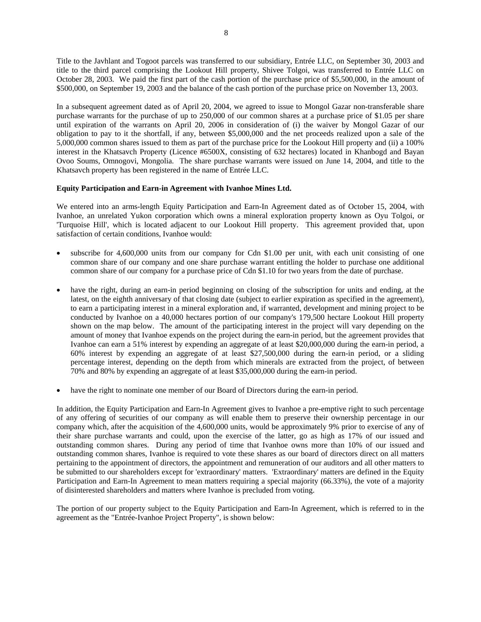Title to the Javhlant and Togoot parcels was transferred to our subsidiary, Entrée LLC, on September 30, 2003 and title to the third parcel comprising the Lookout Hill property, Shivee Tolgoi, was transferred to Entrée LLC on October 28, 2003. We paid the first part of the cash portion of the purchase price of \$5,500,000, in the amount of \$500,000, on September 19, 2003 and the balance of the cash portion of the purchase price on November 13, 2003.

In a subsequent agreement dated as of April 20, 2004, we agreed to issue to Mongol Gazar non-transferable share purchase warrants for the purchase of up to 250,000 of our common shares at a purchase price of \$1.05 per share until expiration of the warrants on April 20, 2006 in consideration of (i) the waiver by Mongol Gazar of our obligation to pay to it the shortfall, if any, between \$5,000,000 and the net proceeds realized upon a sale of the 5,000,000 common shares issued to them as part of the purchase price for the Lookout Hill property and (ii) a 100% interest in the Khatsavch Property (Licence #6500X, consisting of 632 hectares) located in Khanbogd and Bayan Ovoo Soums, Omnogovi, Mongolia. The share purchase warrants were issued on June 14, 2004, and title to the Khatsavch property has been registered in the name of Entrée LLC.

## **Equity Participation and Earn-in Agreement with Ivanhoe Mines Ltd.**

We entered into an arms-length Equity Participation and Earn-In Agreement dated as of October 15, 2004, with Ivanhoe, an unrelated Yukon corporation which owns a mineral exploration property known as Oyu Tolgoi, or 'Turquoise Hill', which is located adjacent to our Lookout Hill property. This agreement provided that, upon satisfaction of certain conditions, Ivanhoe would:

- subscribe for 4,600,000 units from our company for Cdn \$1.00 per unit, with each unit consisting of one common share of our company and one share purchase warrant entitling the holder to purchase one additional common share of our company for a purchase price of Cdn \$1.10 for two years from the date of purchase.
- have the right, during an earn-in period beginning on closing of the subscription for units and ending, at the latest, on the eighth anniversary of that closing date (subject to earlier expiration as specified in the agreement), to earn a participating interest in a mineral exploration and, if warranted, development and mining project to be conducted by Ivanhoe on a 40,000 hectares portion of our company's 179,500 hectare Lookout Hill property shown on the map below. The amount of the participating interest in the project will vary depending on the amount of money that Ivanhoe expends on the project during the earn-in period, but the agreement provides that Ivanhoe can earn a 51% interest by expending an aggregate of at least \$20,000,000 during the earn-in period, a 60% interest by expending an aggregate of at least \$27,500,000 during the earn-in period, or a sliding percentage interest, depending on the depth from which minerals are extracted from the project, of between 70% and 80% by expending an aggregate of at least \$35,000,000 during the earn-in period.
- have the right to nominate one member of our Board of Directors during the earn-in period.

In addition, the Equity Participation and Earn-In Agreement gives to Ivanhoe a pre-emptive right to such percentage of any offering of securities of our company as will enable them to preserve their ownership percentage in our company which, after the acquisition of the 4,600,000 units, would be approximately 9% prior to exercise of any of their share purchase warrants and could, upon the exercise of the latter, go as high as 17% of our issued and outstanding common shares. During any period of time that Ivanhoe owns more than 10% of our issued and outstanding common shares, Ivanhoe is required to vote these shares as our board of directors direct on all matters pertaining to the appointment of directors, the appointment and remuneration of our auditors and all other matters to be submitted to our shareholders except for 'extraordinary' matters. 'Extraordinary' matters are defined in the Equity Participation and Earn-In Agreement to mean matters requiring a special majority (66.33%), the vote of a majority of disinterested shareholders and matters where Ivanhoe is precluded from voting.

The portion of our property subject to the Equity Participation and Earn-In Agreement, which is referred to in the agreement as the "Entrée-Ivanhoe Project Property", is shown below: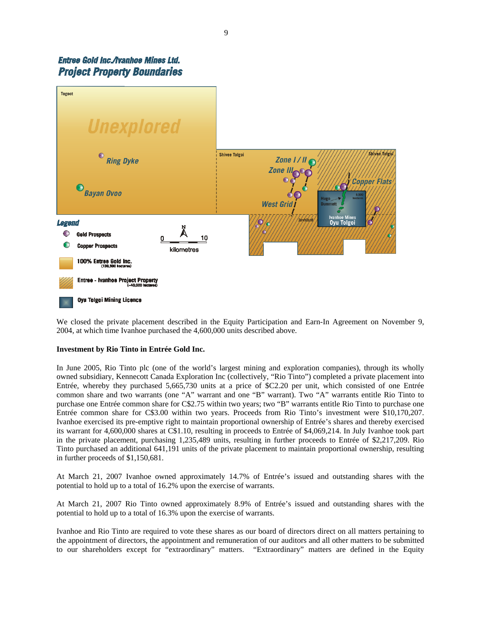## Entree Gold Inc./Ivanhoe Mines Ltd. **Project Property Boundaries**



We closed the private placement described in the Equity Participation and Earn-In Agreement on November 9, 2004, at which time Ivanhoe purchased the 4,600,000 units described above.

## **Investment by Rio Tinto in Entrée Gold Inc.**

In June 2005, Rio Tinto plc (one of the world's largest mining and exploration companies), through its wholly owned subsidiary, Kennecott Canada Exploration Inc (collectively, "Rio Tinto") completed a private placement into Entrée, whereby they purchased 5,665,730 units at a price of \$C2.20 per unit, which consisted of one Entrée common share and two warrants (one "A" warrant and one "B" warrant). Two "A" warrants entitle Rio Tinto to purchase one Entrée common share for C\$2.75 within two years; two "B" warrants entitle Rio Tinto to purchase one Entrée common share for C\$3.00 within two years. Proceeds from Rio Tinto's investment were \$10,170,207. Ivanhoe exercised its pre-emptive right to maintain proportional ownership of Entrée's shares and thereby exercised its warrant for 4,600,000 shares at C\$1.10, resulting in proceeds to Entrée of \$4,069,214. In July Ivanhoe took part in the private placement, purchasing 1,235,489 units, resulting in further proceeds to Entrée of \$2,217,209. Rio Tinto purchased an additional 641,191 units of the private placement to maintain proportional ownership, resulting in further proceeds of \$1,150,681.

At March 21, 2007 Ivanhoe owned approximately 14.7% of Entrée's issued and outstanding shares with the potential to hold up to a total of 16.2% upon the exercise of warrants.

At March 21, 2007 Rio Tinto owned approximately 8.9% of Entrée's issued and outstanding shares with the potential to hold up to a total of 16.3% upon the exercise of warrants.

Ivanhoe and Rio Tinto are required to vote these shares as our board of directors direct on all matters pertaining to the appointment of directors, the appointment and remuneration of our auditors and all other matters to be submitted to our shareholders except for "extraordinary" matters. "Extraordinary" matters are defined in the Equity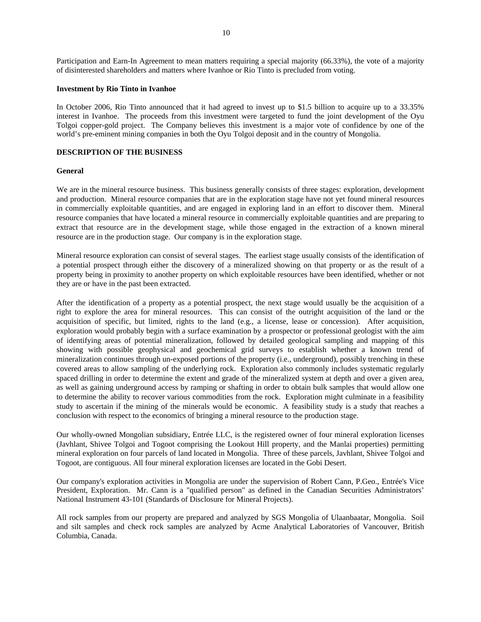Participation and Earn-In Agreement to mean matters requiring a special majority (66.33%), the vote of a majority of disinterested shareholders and matters where Ivanhoe or Rio Tinto is precluded from voting.

#### **Investment by Rio Tinto in Ivanhoe**

In October 2006, Rio Tinto announced that it had agreed to invest up to \$1.5 billion to acquire up to a 33.35% interest in Ivanhoe. The proceeds from this investment were targeted to fund the joint development of the Oyu Tolgoi copper-gold project. The Company believes this investment is a major vote of confidence by one of the world's pre-eminent mining companies in both the Oyu Tolgoi deposit and in the country of Mongolia.

#### **DESCRIPTION OF THE BUSINESS**

#### **General**

We are in the mineral resource business. This business generally consists of three stages: exploration, development and production. Mineral resource companies that are in the exploration stage have not yet found mineral resources in commercially exploitable quantities, and are engaged in exploring land in an effort to discover them. Mineral resource companies that have located a mineral resource in commercially exploitable quantities and are preparing to extract that resource are in the development stage, while those engaged in the extraction of a known mineral resource are in the production stage. Our company is in the exploration stage.

Mineral resource exploration can consist of several stages. The earliest stage usually consists of the identification of a potential prospect through either the discovery of a mineralized showing on that property or as the result of a property being in proximity to another property on which exploitable resources have been identified, whether or not they are or have in the past been extracted.

After the identification of a property as a potential prospect, the next stage would usually be the acquisition of a right to explore the area for mineral resources. This can consist of the outright acquisition of the land or the acquisition of specific, but limited, rights to the land (e.g., a license, lease or concession). After acquisition, exploration would probably begin with a surface examination by a prospector or professional geologist with the aim of identifying areas of potential mineralization, followed by detailed geological sampling and mapping of this showing with possible geophysical and geochemical grid surveys to establish whether a known trend of mineralization continues through un-exposed portions of the property (i.e., underground), possibly trenching in these covered areas to allow sampling of the underlying rock. Exploration also commonly includes systematic regularly spaced drilling in order to determine the extent and grade of the mineralized system at depth and over a given area, as well as gaining underground access by ramping or shafting in order to obtain bulk samples that would allow one to determine the ability to recover various commodities from the rock. Exploration might culminate in a feasibility study to ascertain if the mining of the minerals would be economic. A feasibility study is a study that reaches a conclusion with respect to the economics of bringing a mineral resource to the production stage.

Our wholly-owned Mongolian subsidiary, Entrée LLC, is the registered owner of four mineral exploration licenses (Javhlant, Shivee Tolgoi and Togoot comprising the Lookout Hill property, and the Manlai properties) permitting mineral exploration on four parcels of land located in Mongolia. Three of these parcels, Javhlant, Shivee Tolgoi and Togoot, are contiguous. All four mineral exploration licenses are located in the Gobi Desert.

Our company's exploration activities in Mongolia are under the supervision of Robert Cann, P.Geo., Entrée's Vice President, Exploration. Mr. Cann is a "qualified person" as defined in the Canadian Securities Administrators' National Instrument 43-101 (Standards of Disclosure for Mineral Projects).

All rock samples from our property are prepared and analyzed by SGS Mongolia of Ulaanbaatar, Mongolia. Soil and silt samples and check rock samples are analyzed by Acme Analytical Laboratories of Vancouver, British Columbia, Canada.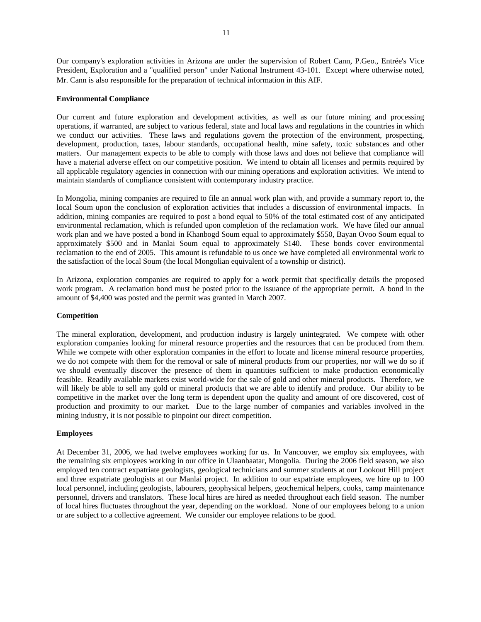Our company's exploration activities in Arizona are under the supervision of Robert Cann, P.Geo., Entrée's Vice President, Exploration and a "qualified person" under National Instrument 43-101. Except where otherwise noted, Mr. Cann is also responsible for the preparation of technical information in this AIF.

## **Environmental Compliance**

Our current and future exploration and development activities, as well as our future mining and processing operations, if warranted, are subject to various federal, state and local laws and regulations in the countries in which we conduct our activities. These laws and regulations govern the protection of the environment, prospecting, development, production, taxes, labour standards, occupational health, mine safety, toxic substances and other matters. Our management expects to be able to comply with those laws and does not believe that compliance will have a material adverse effect on our competitive position. We intend to obtain all licenses and permits required by all applicable regulatory agencies in connection with our mining operations and exploration activities. We intend to maintain standards of compliance consistent with contemporary industry practice.

In Mongolia, mining companies are required to file an annual work plan with, and provide a summary report to, the local Soum upon the conclusion of exploration activities that includes a discussion of environmental impacts. In addition, mining companies are required to post a bond equal to 50% of the total estimated cost of any anticipated environmental reclamation, which is refunded upon completion of the reclamation work. We have filed our annual work plan and we have posted a bond in Khanbogd Soum equal to approximately \$550, Bayan Ovoo Soum equal to approximately \$500 and in Manlai Soum equal to approximately \$140. These bonds cover environmental reclamation to the end of 2005. This amount is refundable to us once we have completed all environmental work to the satisfaction of the local Soum (the local Mongolian equivalent of a township or district).

In Arizona, exploration companies are required to apply for a work permit that specifically details the proposed work program. A reclamation bond must be posted prior to the issuance of the appropriate permit. A bond in the amount of \$4,400 was posted and the permit was granted in March 2007.

#### **Competition**

The mineral exploration, development, and production industry is largely unintegrated. We compete with other exploration companies looking for mineral resource properties and the resources that can be produced from them. While we compete with other exploration companies in the effort to locate and license mineral resource properties, we do not compete with them for the removal or sale of mineral products from our properties, nor will we do so if we should eventually discover the presence of them in quantities sufficient to make production economically feasible. Readily available markets exist world-wide for the sale of gold and other mineral products. Therefore, we will likely be able to sell any gold or mineral products that we are able to identify and produce. Our ability to be competitive in the market over the long term is dependent upon the quality and amount of ore discovered, cost of production and proximity to our market. Due to the large number of companies and variables involved in the mining industry, it is not possible to pinpoint our direct competition.

#### **Employees**

At December 31, 2006, we had twelve employees working for us. In Vancouver, we employ six employees, with the remaining six employees working in our office in Ulaanbaatar, Mongolia. During the 2006 field season, we also employed ten contract expatriate geologists, geological technicians and summer students at our Lookout Hill project and three expatriate geologists at our Manlai project. In addition to our expatriate employees, we hire up to 100 local personnel, including geologists, labourers, geophysical helpers, geochemical helpers, cooks, camp maintenance personnel, drivers and translators. These local hires are hired as needed throughout each field season. The number of local hires fluctuates throughout the year, depending on the workload. None of our employees belong to a union or are subject to a collective agreement. We consider our employee relations to be good.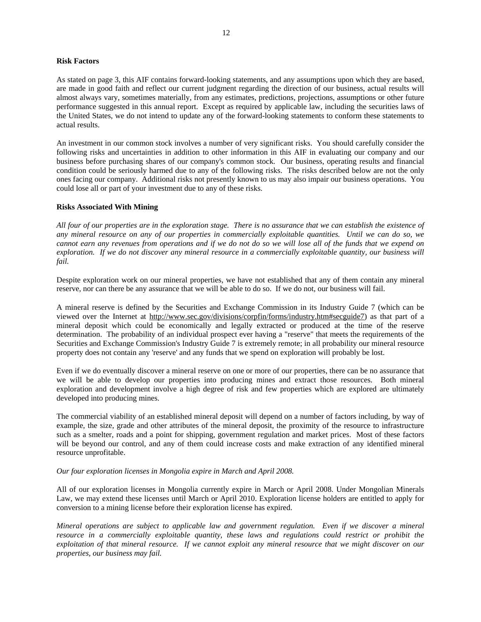#### **Risk Factors**

As stated on page 3, this AIF contains forward-looking statements, and any assumptions upon which they are based, are made in good faith and reflect our current judgment regarding the direction of our business, actual results will almost always vary, sometimes materially, from any estimates, predictions, projections, assumptions or other future performance suggested in this annual report. Except as required by applicable law, including the securities laws of the United States, we do not intend to update any of the forward-looking statements to conform these statements to actual results.

An investment in our common stock involves a number of very significant risks. You should carefully consider the following risks and uncertainties in addition to other information in this AIF in evaluating our company and our business before purchasing shares of our company's common stock. Our business, operating results and financial condition could be seriously harmed due to any of the following risks. The risks described below are not the only ones facing our company. Additional risks not presently known to us may also impair our business operations. You could lose all or part of your investment due to any of these risks.

#### **Risks Associated With Mining**

*All four of our properties are in the exploration stage. There is no assurance that we can establish the existence of any mineral resource on any of our properties in commercially exploitable quantities. Until we can do so, we cannot earn any revenues from operations and if we do not do so we will lose all of the funds that we expend on exploration. If we do not discover any mineral resource in a commercially exploitable quantity, our business will fail.* 

Despite exploration work on our mineral properties, we have not established that any of them contain any mineral reserve, nor can there be any assurance that we will be able to do so. If we do not, our business will fail.

A mineral reserve is defined by the Securities and Exchange Commission in its Industry Guide 7 (which can be viewed over the Internet at http://www.sec.gov/divisions/corpfin/forms/industry.htm#secguide7) as that part of a mineral deposit which could be economically and legally extracted or produced at the time of the reserve determination. The probability of an individual prospect ever having a "reserve" that meets the requirements of the Securities and Exchange Commission's Industry Guide 7 is extremely remote; in all probability our mineral resource property does not contain any 'reserve' and any funds that we spend on exploration will probably be lost.

Even if we do eventually discover a mineral reserve on one or more of our properties, there can be no assurance that we will be able to develop our properties into producing mines and extract those resources. Both mineral exploration and development involve a high degree of risk and few properties which are explored are ultimately developed into producing mines.

The commercial viability of an established mineral deposit will depend on a number of factors including, by way of example, the size, grade and other attributes of the mineral deposit, the proximity of the resource to infrastructure such as a smelter, roads and a point for shipping, government regulation and market prices. Most of these factors will be beyond our control, and any of them could increase costs and make extraction of any identified mineral resource unprofitable.

#### *Our four exploration licenses in Mongolia expire in March and April 2008.*

All of our exploration licenses in Mongolia currently expire in March or April 2008. Under Mongolian Minerals Law, we may extend these licenses until March or April 2010. Exploration license holders are entitled to apply for conversion to a mining license before their exploration license has expired.

*Mineral operations are subject to applicable law and government regulation. Even if we discover a mineral resource in a commercially exploitable quantity, these laws and regulations could restrict or prohibit the exploitation of that mineral resource. If we cannot exploit any mineral resource that we might discover on our properties, our business may fail.*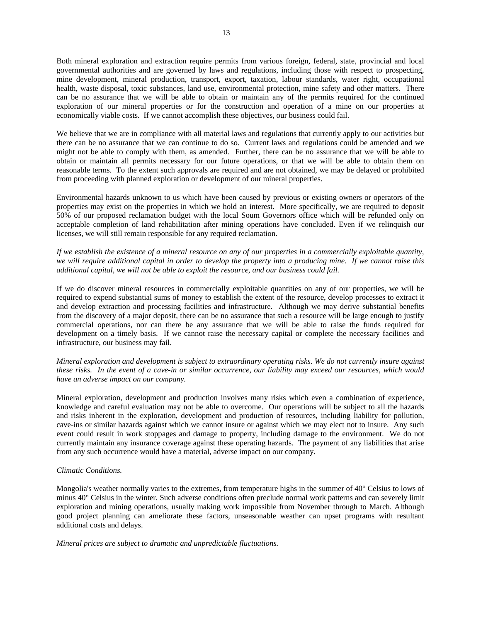Both mineral exploration and extraction require permits from various foreign, federal, state, provincial and local governmental authorities and are governed by laws and regulations, including those with respect to prospecting, mine development, mineral production, transport, export, taxation, labour standards, water right, occupational health, waste disposal, toxic substances, land use, environmental protection, mine safety and other matters. There can be no assurance that we will be able to obtain or maintain any of the permits required for the continued exploration of our mineral properties or for the construction and operation of a mine on our properties at economically viable costs. If we cannot accomplish these objectives, our business could fail.

We believe that we are in compliance with all material laws and regulations that currently apply to our activities but there can be no assurance that we can continue to do so. Current laws and regulations could be amended and we might not be able to comply with them, as amended. Further, there can be no assurance that we will be able to obtain or maintain all permits necessary for our future operations, or that we will be able to obtain them on reasonable terms. To the extent such approvals are required and are not obtained, we may be delayed or prohibited from proceeding with planned exploration or development of our mineral properties.

Environmental hazards unknown to us which have been caused by previous or existing owners or operators of the properties may exist on the properties in which we hold an interest. More specifically, we are required to deposit 50% of our proposed reclamation budget with the local Soum Governors office which will be refunded only on acceptable completion of land rehabilitation after mining operations have concluded. Even if we relinquish our licenses, we will still remain responsible for any required reclamation.

*If we establish the existence of a mineral resource on any of our properties in a commercially exploitable quantity, we will require additional capital in order to develop the property into a producing mine. If we cannot raise this additional capital, we will not be able to exploit the resource, and our business could fail.* 

If we do discover mineral resources in commercially exploitable quantities on any of our properties, we will be required to expend substantial sums of money to establish the extent of the resource, develop processes to extract it and develop extraction and processing facilities and infrastructure. Although we may derive substantial benefits from the discovery of a major deposit, there can be no assurance that such a resource will be large enough to justify commercial operations, nor can there be any assurance that we will be able to raise the funds required for development on a timely basis. If we cannot raise the necessary capital or complete the necessary facilities and infrastructure, our business may fail.

*Mineral exploration and development is subject to extraordinary operating risks. We do not currently insure against these risks. In the event of a cave-in or similar occurrence, our liability may exceed our resources, which would have an adverse impact on our company.* 

Mineral exploration, development and production involves many risks which even a combination of experience, knowledge and careful evaluation may not be able to overcome. Our operations will be subject to all the hazards and risks inherent in the exploration, development and production of resources, including liability for pollution, cave-ins or similar hazards against which we cannot insure or against which we may elect not to insure. Any such event could result in work stoppages and damage to property, including damage to the environment. We do not currently maintain any insurance coverage against these operating hazards. The payment of any liabilities that arise from any such occurrence would have a material, adverse impact on our company.

#### *Climatic Conditions.*

Mongolia's weather normally varies to the extremes, from temperature highs in the summer of 40° Celsius to lows of minus 40° Celsius in the winter. Such adverse conditions often preclude normal work patterns and can severely limit exploration and mining operations, usually making work impossible from November through to March. Although good project planning can ameliorate these factors, unseasonable weather can upset programs with resultant additional costs and delays.

*Mineral prices are subject to dramatic and unpredictable fluctuations.*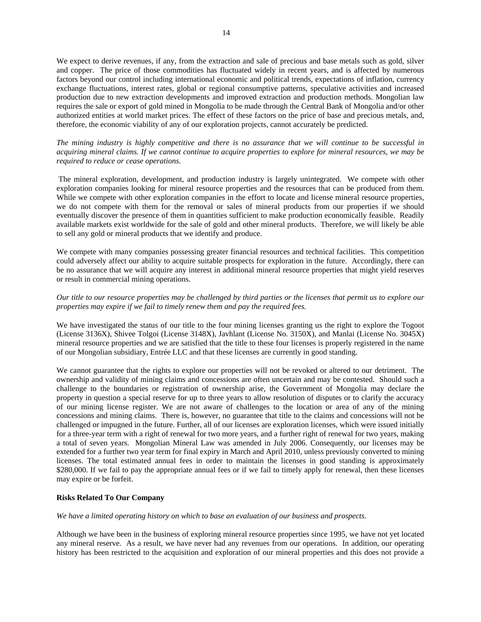We expect to derive revenues, if any, from the extraction and sale of precious and base metals such as gold, silver and copper. The price of those commodities has fluctuated widely in recent years, and is affected by numerous factors beyond our control including international economic and political trends, expectations of inflation, currency exchange fluctuations, interest rates, global or regional consumptive patterns, speculative activities and increased production due to new extraction developments and improved extraction and production methods. Mongolian law requires the sale or export of gold mined in Mongolia to be made through the Central Bank of Mongolia and/or other authorized entities at world market prices. The effect of these factors on the price of base and precious metals, and, therefore, the economic viability of any of our exploration projects, cannot accurately be predicted.

*The mining industry is highly competitive and there is no assurance that we will continue to be successful in acquiring mineral claims. If we cannot continue to acquire properties to explore for mineral resources, we may be required to reduce or cease operations.* 

 The mineral exploration, development, and production industry is largely unintegrated. We compete with other exploration companies looking for mineral resource properties and the resources that can be produced from them. While we compete with other exploration companies in the effort to locate and license mineral resource properties, we do not compete with them for the removal or sales of mineral products from our properties if we should eventually discover the presence of them in quantities sufficient to make production economically feasible. Readily available markets exist worldwide for the sale of gold and other mineral products. Therefore, we will likely be able to sell any gold or mineral products that we identify and produce.

We compete with many companies possessing greater financial resources and technical facilities. This competition could adversely affect our ability to acquire suitable prospects for exploration in the future. Accordingly, there can be no assurance that we will acquire any interest in additional mineral resource properties that might yield reserves or result in commercial mining operations.

## *Our title to our resource properties may be challenged by third parties or the licenses that permit us to explore our properties may expire if we fail to timely renew them and pay the required fees.*

We have investigated the status of our title to the four mining licenses granting us the right to explore the Togoot (License 3136X), Shivee Tolgoi (License 3148X), Javhlant (License No. 3150X), and Manlai (License No. 3045X) mineral resource properties and we are satisfied that the title to these four licenses is properly registered in the name of our Mongolian subsidiary, Entrée LLC and that these licenses are currently in good standing.

We cannot guarantee that the rights to explore our properties will not be revoked or altered to our detriment. The ownership and validity of mining claims and concessions are often uncertain and may be contested. Should such a challenge to the boundaries or registration of ownership arise, the Government of Mongolia may declare the property in question a special reserve for up to three years to allow resolution of disputes or to clarify the accuracy of our mining license register. We are not aware of challenges to the location or area of any of the mining concessions and mining claims. There is, however, no guarantee that title to the claims and concessions will not be challenged or impugned in the future. Further, all of our licenses are exploration licenses, which were issued initially for a three-year term with a right of renewal for two more years, and a further right of renewal for two years, making a total of seven years. Mongolian Mineral Law was amended in July 2006. Consequently, our licenses may be extended for a further two year term for final expiry in March and April 2010, unless previously converted to mining licenses. The total estimated annual fees in order to maintain the licenses in good standing is approximately \$280,000. If we fail to pay the appropriate annual fees or if we fail to timely apply for renewal, then these licenses may expire or be forfeit.

#### **Risks Related To Our Company**

*We have a limited operating history on which to base an evaluation of our business and prospects.*

Although we have been in the business of exploring mineral resource properties since 1995, we have not yet located any mineral reserve. As a result, we have never had any revenues from our operations. In addition, our operating history has been restricted to the acquisition and exploration of our mineral properties and this does not provide a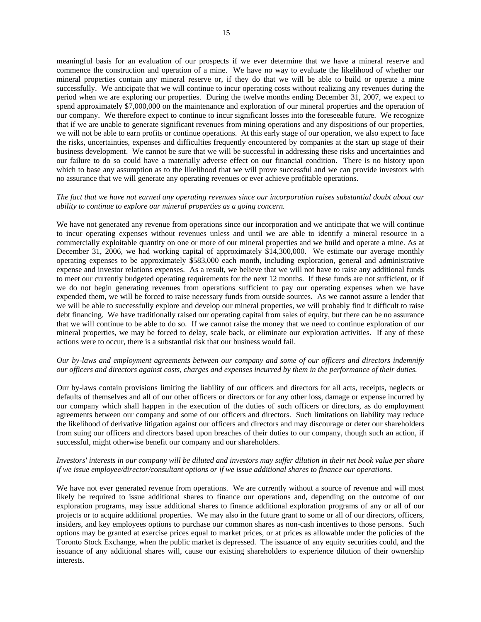meaningful basis for an evaluation of our prospects if we ever determine that we have a mineral reserve and commence the construction and operation of a mine. We have no way to evaluate the likelihood of whether our mineral properties contain any mineral reserve or, if they do that we will be able to build or operate a mine successfully. We anticipate that we will continue to incur operating costs without realizing any revenues during the period when we are exploring our properties. During the twelve months ending December 31, 2007, we expect to spend approximately \$7,000,000 on the maintenance and exploration of our mineral properties and the operation of our company. We therefore expect to continue to incur significant losses into the foreseeable future. We recognize that if we are unable to generate significant revenues from mining operations and any dispositions of our properties, we will not be able to earn profits or continue operations. At this early stage of our operation, we also expect to face the risks, uncertainties, expenses and difficulties frequently encountered by companies at the start up stage of their business development. We cannot be sure that we will be successful in addressing these risks and uncertainties and our failure to do so could have a materially adverse effect on our financial condition. There is no history upon which to base any assumption as to the likelihood that we will prove successful and we can provide investors with no assurance that we will generate any operating revenues or ever achieve profitable operations.

#### *The fact that we have not earned any operating revenues since our incorporation raises substantial doubt about our ability to continue to explore our mineral properties as a going concern.*

We have not generated any revenue from operations since our incorporation and we anticipate that we will continue to incur operating expenses without revenues unless and until we are able to identify a mineral resource in a commercially exploitable quantity on one or more of our mineral properties and we build and operate a mine. As at December 31, 2006, we had working capital of approximately \$14,300,000. We estimate our average monthly operating expenses to be approximately \$583,000 each month, including exploration, general and administrative expense and investor relations expenses. As a result, we believe that we will not have to raise any additional funds to meet our currently budgeted operating requirements for the next 12 months. If these funds are not sufficient, or if we do not begin generating revenues from operations sufficient to pay our operating expenses when we have expended them, we will be forced to raise necessary funds from outside sources. As we cannot assure a lender that we will be able to successfully explore and develop our mineral properties, we will probably find it difficult to raise debt financing. We have traditionally raised our operating capital from sales of equity, but there can be no assurance that we will continue to be able to do so. If we cannot raise the money that we need to continue exploration of our mineral properties, we may be forced to delay, scale back, or eliminate our exploration activities. If any of these actions were to occur, there is a substantial risk that our business would fail.

## *Our by-laws and employment agreements between our company and some of our officers and directors indemnify our officers and directors against costs, charges and expenses incurred by them in the performance of their duties.*

Our by-laws contain provisions limiting the liability of our officers and directors for all acts, receipts, neglects or defaults of themselves and all of our other officers or directors or for any other loss, damage or expense incurred by our company which shall happen in the execution of the duties of such officers or directors, as do employment agreements between our company and some of our officers and directors. Such limitations on liability may reduce the likelihood of derivative litigation against our officers and directors and may discourage or deter our shareholders from suing our officers and directors based upon breaches of their duties to our company, though such an action, if successful, might otherwise benefit our company and our shareholders.

## *Investors' interests in our company will be diluted and investors may suffer dilution in their net book value per share if we issue employee/director/consultant options or if we issue additional shares to finance our operations.*

We have not ever generated revenue from operations. We are currently without a source of revenue and will most likely be required to issue additional shares to finance our operations and, depending on the outcome of our exploration programs, may issue additional shares to finance additional exploration programs of any or all of our projects or to acquire additional properties. We may also in the future grant to some or all of our directors, officers, insiders, and key employees options to purchase our common shares as non-cash incentives to those persons. Such options may be granted at exercise prices equal to market prices, or at prices as allowable under the policies of the Toronto Stock Exchange, when the public market is depressed. The issuance of any equity securities could, and the issuance of any additional shares will, cause our existing shareholders to experience dilution of their ownership interests.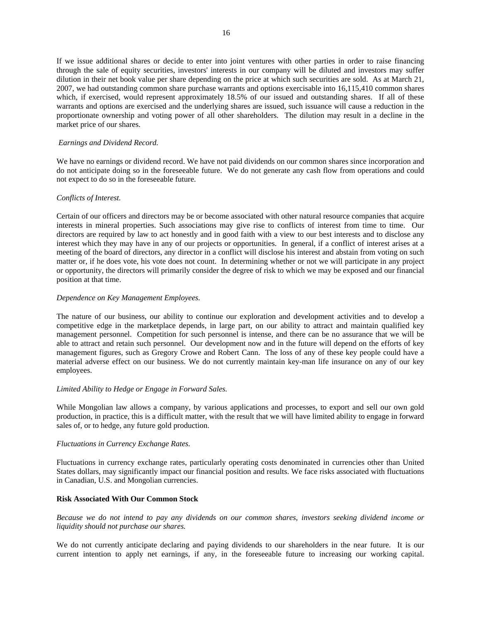If we issue additional shares or decide to enter into joint ventures with other parties in order to raise financing through the sale of equity securities, investors' interests in our company will be diluted and investors may suffer dilution in their net book value per share depending on the price at which such securities are sold. As at March 21, 2007, we had outstanding common share purchase warrants and options exercisable into 16,115,410 common shares which, if exercised, would represent approximately 18.5% of our issued and outstanding shares. If all of these warrants and options are exercised and the underlying shares are issued, such issuance will cause a reduction in the proportionate ownership and voting power of all other shareholders. The dilution may result in a decline in the market price of our shares.

#### *Earnings and Dividend Record.*

We have no earnings or dividend record. We have not paid dividends on our common shares since incorporation and do not anticipate doing so in the foreseeable future. We do not generate any cash flow from operations and could not expect to do so in the foreseeable future.

#### *Conflicts of Interest.*

Certain of our officers and directors may be or become associated with other natural resource companies that acquire interests in mineral properties. Such associations may give rise to conflicts of interest from time to time. Our directors are required by law to act honestly and in good faith with a view to our best interests and to disclose any interest which they may have in any of our projects or opportunities. In general, if a conflict of interest arises at a meeting of the board of directors, any director in a conflict will disclose his interest and abstain from voting on such matter or, if he does vote, his vote does not count. In determining whether or not we will participate in any project or opportunity, the directors will primarily consider the degree of risk to which we may be exposed and our financial position at that time.

## *Dependence on Key Management Employees.*

The nature of our business, our ability to continue our exploration and development activities and to develop a competitive edge in the marketplace depends, in large part, on our ability to attract and maintain qualified key management personnel. Competition for such personnel is intense, and there can be no assurance that we will be able to attract and retain such personnel. Our development now and in the future will depend on the efforts of key management figures, such as Gregory Crowe and Robert Cann. The loss of any of these key people could have a material adverse effect on our business. We do not currently maintain key-man life insurance on any of our key employees.

#### *Limited Ability to Hedge or Engage in Forward Sales.*

While Mongolian law allows a company, by various applications and processes, to export and sell our own gold production, in practice, this is a difficult matter, with the result that we will have limited ability to engage in forward sales of, or to hedge, any future gold production.

#### *Fluctuations in Currency Exchange Rates.*

Fluctuations in currency exchange rates, particularly operating costs denominated in currencies other than United States dollars, may significantly impact our financial position and results. We face risks associated with fluctuations in Canadian, U.S. and Mongolian currencies.

#### **Risk Associated With Our Common Stock**

*Because we do not intend to pay any dividends on our common shares, investors seeking dividend income or liquidity should not purchase our shares.* 

We do not currently anticipate declaring and paying dividends to our shareholders in the near future. It is our current intention to apply net earnings, if any, in the foreseeable future to increasing our working capital.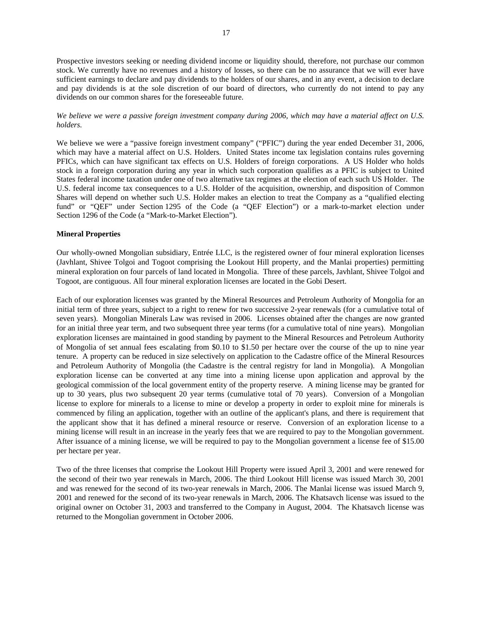Prospective investors seeking or needing dividend income or liquidity should, therefore, not purchase our common stock. We currently have no revenues and a history of losses, so there can be no assurance that we will ever have sufficient earnings to declare and pay dividends to the holders of our shares, and in any event, a decision to declare and pay dividends is at the sole discretion of our board of directors, who currently do not intend to pay any dividends on our common shares for the foreseeable future.

*We believe we were a passive foreign investment company during 2006, which may have a material affect on U.S. holders.* 

We believe we were a "passive foreign investment company" ("PFIC") during the year ended December 31, 2006, which may have a material affect on U.S. Holders. United States income tax legislation contains rules governing PFICs, which can have significant tax effects on U.S. Holders of foreign corporations. A US Holder who holds stock in a foreign corporation during any year in which such corporation qualifies as a PFIC is subject to United States federal income taxation under one of two alternative tax regimes at the election of each such US Holder. The U.S. federal income tax consequences to a U.S. Holder of the acquisition, ownership, and disposition of Common Shares will depend on whether such U.S. Holder makes an election to treat the Company as a "qualified electing fund" or "QEF" under Section 1295 of the Code (a "QEF Election") or a mark-to-market election under Section 1296 of the Code (a "Mark-to-Market Election").

#### **Mineral Properties**

Our wholly-owned Mongolian subsidiary, Entrée LLC, is the registered owner of four mineral exploration licenses (Javhlant, Shivee Tolgoi and Togoot comprising the Lookout Hill property, and the Manlai properties) permitting mineral exploration on four parcels of land located in Mongolia. Three of these parcels, Javhlant, Shivee Tolgoi and Togoot, are contiguous. All four mineral exploration licenses are located in the Gobi Desert.

Each of our exploration licenses was granted by the Mineral Resources and Petroleum Authority of Mongolia for an initial term of three years, subject to a right to renew for two successive 2-year renewals (for a cumulative total of seven years). Mongolian Minerals Law was revised in 2006. Licenses obtained after the changes are now granted for an initial three year term, and two subsequent three year terms (for a cumulative total of nine years). Mongolian exploration licenses are maintained in good standing by payment to the Mineral Resources and Petroleum Authority of Mongolia of set annual fees escalating from \$0.10 to \$1.50 per hectare over the course of the up to nine year tenure. A property can be reduced in size selectively on application to the Cadastre office of the Mineral Resources and Petroleum Authority of Mongolia (the Cadastre is the central registry for land in Mongolia). A Mongolian exploration license can be converted at any time into a mining license upon application and approval by the geological commission of the local government entity of the property reserve. A mining license may be granted for up to 30 years, plus two subsequent 20 year terms (cumulative total of 70 years). Conversion of a Mongolian license to explore for minerals to a license to mine or develop a property in order to exploit mine for minerals is commenced by filing an application, together with an outline of the applicant's plans, and there is requirement that the applicant show that it has defined a mineral resource or reserve. Conversion of an exploration license to a mining license will result in an increase in the yearly fees that we are required to pay to the Mongolian government. After issuance of a mining license, we will be required to pay to the Mongolian government a license fee of \$15.00 per hectare per year.

Two of the three licenses that comprise the Lookout Hill Property were issued April 3, 2001 and were renewed for the second of their two year renewals in March, 2006. The third Lookout Hill license was issued March 30, 2001 and was renewed for the second of its two-year renewals in March, 2006. The Manlai license was issued March 9, 2001 and renewed for the second of its two-year renewals in March, 2006. The Khatsavch license was issued to the original owner on October 31, 2003 and transferred to the Company in August, 2004. The Khatsavch license was returned to the Mongolian government in October 2006.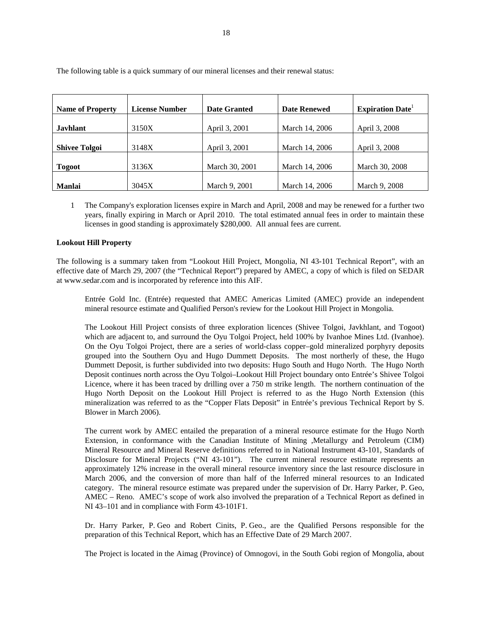| <b>Name of Property</b> | <b>License Number</b> | <b>Date Granted</b> | <b>Date Renewed</b> | <b>Expiration Date</b> |
|-------------------------|-----------------------|---------------------|---------------------|------------------------|
| <b>Javhlant</b>         | 3150X                 | April 3, 2001       | March 14, 2006      | April 3, 2008          |
| <b>Shivee Tolgoi</b>    | 3148X                 | April 3, 2001       | March 14, 2006      | April 3, 2008          |
| <b>Togoot</b>           | 3136X                 | March 30, 2001      | March 14, 2006      | March 30, 2008         |
| <b>Manlai</b>           | 3045X                 | March 9, 2001       | March 14, 2006      | March 9, 2008          |

The following table is a quick summary of our mineral licenses and their renewal status:

1 The Company's exploration licenses expire in March and April, 2008 and may be renewed for a further two years, finally expiring in March or April 2010. The total estimated annual fees in order to maintain these licenses in good standing is approximately \$280,000. All annual fees are current.

## **Lookout Hill Property**

The following is a summary taken from "Lookout Hill Project, Mongolia, NI 43-101 Technical Report", with an effective date of March 29, 2007 (the "Technical Report") prepared by AMEC, a copy of which is filed on SEDAR at www.sedar.com and is incorporated by reference into this AIF.

Entrée Gold Inc. (Entrée) requested that AMEC Americas Limited (AMEC) provide an independent mineral resource estimate and Qualified Person's review for the Lookout Hill Project in Mongolia.

The Lookout Hill Project consists of three exploration licences (Shivee Tolgoi, Javkhlant, and Togoot) which are adjacent to, and surround the Oyu Tolgoi Project, held 100% by Ivanhoe Mines Ltd. (Ivanhoe). On the Oyu Tolgoi Project, there are a series of world-class copper–gold mineralized porphyry deposits grouped into the Southern Oyu and Hugo Dummett Deposits. The most northerly of these, the Hugo Dummett Deposit, is further subdivided into two deposits: Hugo South and Hugo North. The Hugo North Deposit continues north across the Oyu Tolgoi–Lookout Hill Project boundary onto Entrée's Shivee Tolgoi Licence, where it has been traced by drilling over a 750 m strike length. The northern continuation of the Hugo North Deposit on the Lookout Hill Project is referred to as the Hugo North Extension (this mineralization was referred to as the "Copper Flats Deposit" in Entrée's previous Technical Report by S. Blower in March 2006).

The current work by AMEC entailed the preparation of a mineral resource estimate for the Hugo North Extension, in conformance with the Canadian Institute of Mining ,Metallurgy and Petroleum (CIM) Mineral Resource and Mineral Reserve definitions referred to in National Instrument 43-101, Standards of Disclosure for Mineral Projects ("NI 43-101"). The current mineral resource estimate represents an approximately 12% increase in the overall mineral resource inventory since the last resource disclosure in March 2006, and the conversion of more than half of the Inferred mineral resources to an Indicated category. The mineral resource estimate was prepared under the supervision of Dr. Harry Parker, P. Geo, AMEC – Reno. AMEC's scope of work also involved the preparation of a Technical Report as defined in NI 43–101 and in compliance with Form 43-101F1.

Dr. Harry Parker, P. Geo and Robert Cinits, P. Geo., are the Qualified Persons responsible for the preparation of this Technical Report, which has an Effective Date of 29 March 2007.

The Project is located in the Aimag (Province) of Omnogovi, in the South Gobi region of Mongolia, about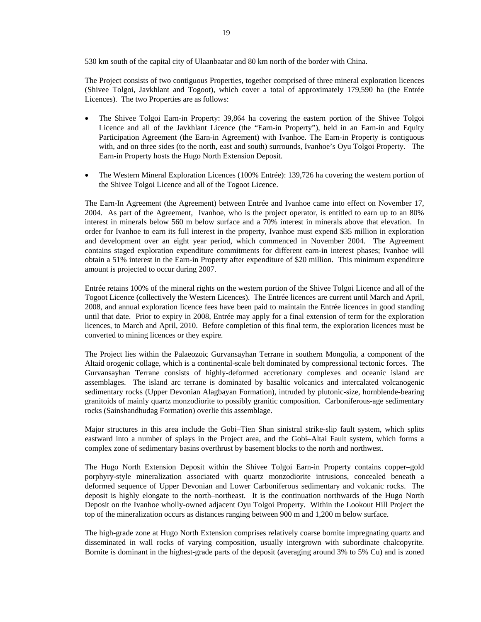530 km south of the capital city of Ulaanbaatar and 80 km north of the border with China.

The Project consists of two contiguous Properties, together comprised of three mineral exploration licences (Shivee Tolgoi, Javkhlant and Togoot), which cover a total of approximately 179,590 ha (the Entrée Licences). The two Properties are as follows:

- The Shivee Tolgoi Earn-in Property: 39,864 ha covering the eastern portion of the Shivee Tolgoi Licence and all of the Javkhlant Licence (the "Earn-in Property"), held in an Earn-in and Equity Participation Agreement (the Earn-in Agreement) with Ivanhoe. The Earn-in Property is contiguous with, and on three sides (to the north, east and south) surrounds, Ivanhoe's Oyu Tolgoi Property. The Earn-in Property hosts the Hugo North Extension Deposit.
- The Western Mineral Exploration Licences (100% Entrée): 139,726 ha covering the western portion of the Shivee Tolgoi Licence and all of the Togoot Licence.

The Earn-In Agreement (the Agreement) between Entrée and Ivanhoe came into effect on November 17, 2004. As part of the Agreement, Ivanhoe, who is the project operator, is entitled to earn up to an 80% interest in minerals below 560 m below surface and a 70% interest in minerals above that elevation. In order for Ivanhoe to earn its full interest in the property, Ivanhoe must expend \$35 million in exploration and development over an eight year period, which commenced in November 2004. The Agreement contains staged exploration expenditure commitments for different earn-in interest phases; Ivanhoe will obtain a 51% interest in the Earn-in Property after expenditure of \$20 million. This minimum expenditure amount is projected to occur during 2007.

Entrée retains 100% of the mineral rights on the western portion of the Shivee Tolgoi Licence and all of the Togoot Licence (collectively the Western Licences). The Entrée licences are current until March and April, 2008, and annual exploration licence fees have been paid to maintain the Entrée licences in good standing until that date. Prior to expiry in 2008, Entrée may apply for a final extension of term for the exploration licences, to March and April, 2010. Before completion of this final term, the exploration licences must be converted to mining licences or they expire.

The Project lies within the Palaeozoic Gurvansayhan Terrane in southern Mongolia, a component of the Altaid orogenic collage, which is a continental-scale belt dominated by compressional tectonic forces. The Gurvansayhan Terrane consists of highly-deformed accretionary complexes and oceanic island arc assemblages. The island arc terrane is dominated by basaltic volcanics and intercalated volcanogenic sedimentary rocks (Upper Devonian Alagbayan Formation), intruded by plutonic-size, hornblende-bearing granitoids of mainly quartz monzodiorite to possibly granitic composition. Carboniferous-age sedimentary rocks (Sainshandhudag Formation) overlie this assemblage.

Major structures in this area include the Gobi–Tien Shan sinistral strike-slip fault system, which splits eastward into a number of splays in the Project area, and the Gobi–Altai Fault system, which forms a complex zone of sedimentary basins overthrust by basement blocks to the north and northwest.

The Hugo North Extension Deposit within the Shivee Tolgoi Earn-in Property contains copper–gold porphyry-style mineralization associated with quartz monzodiorite intrusions, concealed beneath a deformed sequence of Upper Devonian and Lower Carboniferous sedimentary and volcanic rocks. The deposit is highly elongate to the north–northeast. It is the continuation northwards of the Hugo North Deposit on the Ivanhoe wholly-owned adjacent Oyu Tolgoi Property. Within the Lookout Hill Project the top of the mineralization occurs as distances ranging between 900 m and 1,200 m below surface.

The high-grade zone at Hugo North Extension comprises relatively coarse bornite impregnating quartz and disseminated in wall rocks of varying composition, usually intergrown with subordinate chalcopyrite. Bornite is dominant in the highest-grade parts of the deposit (averaging around 3% to 5% Cu) and is zoned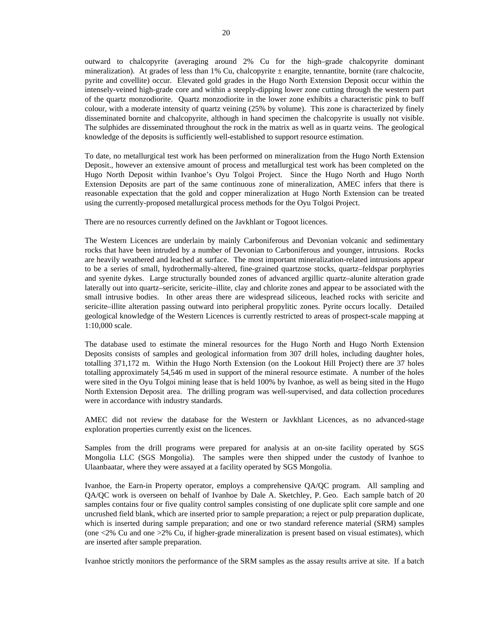outward to chalcopyrite (averaging around 2% Cu for the high–grade chalcopyrite dominant mineralization). At grades of less than 1% Cu, chalcopyrite ± enargite, tennantite, bornite (rare chalcocite, pyrite and covellite) occur. Elevated gold grades in the Hugo North Extension Deposit occur within the intensely-veined high-grade core and within a steeply-dipping lower zone cutting through the western part of the quartz monzodiorite. Quartz monzodiorite in the lower zone exhibits a characteristic pink to buff colour, with a moderate intensity of quartz veining (25% by volume). This zone is characterized by finely disseminated bornite and chalcopyrite, although in hand specimen the chalcopyrite is usually not visible. The sulphides are disseminated throughout the rock in the matrix as well as in quartz veins. The geological knowledge of the deposits is sufficiently well-established to support resource estimation.

To date, no metallurgical test work has been performed on mineralization from the Hugo North Extension Deposit., however an extensive amount of process and metallurgical test work has been completed on the Hugo North Deposit within Ivanhoe's Oyu Tolgoi Project. Since the Hugo North and Hugo North Extension Deposits are part of the same continuous zone of mineralization, AMEC infers that there is reasonable expectation that the gold and copper mineralization at Hugo North Extension can be treated using the currently-proposed metallurgical process methods for the Oyu Tolgoi Project.

There are no resources currently defined on the Javkhlant or Togoot licences.

The Western Licences are underlain by mainly Carboniferous and Devonian volcanic and sedimentary rocks that have been intruded by a number of Devonian to Carboniferous and younger, intrusions. Rocks are heavily weathered and leached at surface. The most important mineralization-related intrusions appear to be a series of small, hydrothermally-altered, fine-grained quartzose stocks, quartz–feldspar porphyries and syenite dykes. Large structurally bounded zones of advanced argillic quartz–alunite alteration grade laterally out into quartz–sericite, sericite–illite, clay and chlorite zones and appear to be associated with the small intrusive bodies. In other areas there are widespread siliceous, leached rocks with sericite and sericite–illite alteration passing outward into peripheral propylitic zones. Pyrite occurs locally. Detailed geological knowledge of the Western Licences is currently restricted to areas of prospect-scale mapping at 1:10,000 scale.

The database used to estimate the mineral resources for the Hugo North and Hugo North Extension Deposits consists of samples and geological information from 307 drill holes, including daughter holes, totalling 371,172 m. Within the Hugo North Extension (on the Lookout Hill Project) there are 37 holes totalling approximately 54,546 m used in support of the mineral resource estimate. A number of the holes were sited in the Oyu Tolgoi mining lease that is held 100% by Ivanhoe, as well as being sited in the Hugo North Extension Deposit area. The drilling program was well-supervised, and data collection procedures were in accordance with industry standards.

AMEC did not review the database for the Western or Javkhlant Licences, as no advanced-stage exploration properties currently exist on the licences.

Samples from the drill programs were prepared for analysis at an on-site facility operated by SGS Mongolia LLC (SGS Mongolia). The samples were then shipped under the custody of Ivanhoe to Ulaanbaatar, where they were assayed at a facility operated by SGS Mongolia.

Ivanhoe, the Earn-in Property operator, employs a comprehensive QA/QC program. All sampling and QA/QC work is overseen on behalf of Ivanhoe by Dale A. Sketchley, P. Geo. Each sample batch of 20 samples contains four or five quality control samples consisting of one duplicate split core sample and one uncrushed field blank, which are inserted prior to sample preparation; a reject or pulp preparation duplicate, which is inserted during sample preparation; and one or two standard reference material (SRM) samples (one <2% Cu and one >2% Cu, if higher-grade mineralization is present based on visual estimates), which are inserted after sample preparation.

Ivanhoe strictly monitors the performance of the SRM samples as the assay results arrive at site. If a batch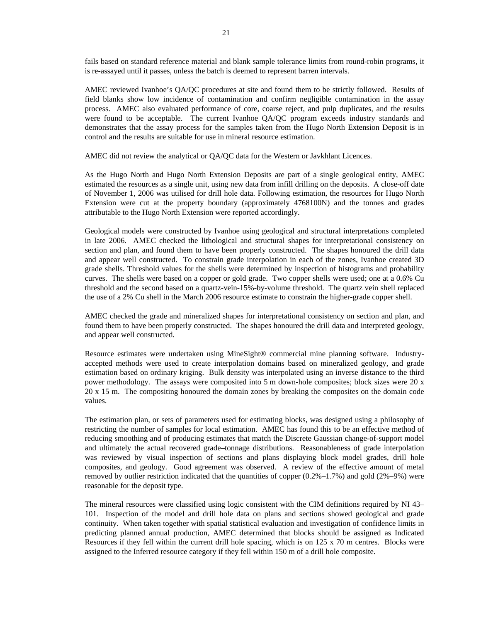fails based on standard reference material and blank sample tolerance limits from round-robin programs, it is re-assayed until it passes, unless the batch is deemed to represent barren intervals.

AMEC reviewed Ivanhoe's QA/QC procedures at site and found them to be strictly followed. Results of field blanks show low incidence of contamination and confirm negligible contamination in the assay process. AMEC also evaluated performance of core, coarse reject, and pulp duplicates, and the results were found to be acceptable. The current Ivanhoe QA/QC program exceeds industry standards and demonstrates that the assay process for the samples taken from the Hugo North Extension Deposit is in control and the results are suitable for use in mineral resource estimation.

AMEC did not review the analytical or QA/QC data for the Western or Javkhlant Licences.

As the Hugo North and Hugo North Extension Deposits are part of a single geological entity, AMEC estimated the resources as a single unit, using new data from infill drilling on the deposits. A close-off date of November 1, 2006 was utilised for drill hole data. Following estimation, the resources for Hugo North Extension were cut at the property boundary (approximately 4768100N) and the tonnes and grades attributable to the Hugo North Extension were reported accordingly.

Geological models were constructed by Ivanhoe using geological and structural interpretations completed in late 2006. AMEC checked the lithological and structural shapes for interpretational consistency on section and plan, and found them to have been properly constructed. The shapes honoured the drill data and appear well constructed. To constrain grade interpolation in each of the zones, Ivanhoe created 3D grade shells. Threshold values for the shells were determined by inspection of histograms and probability curves. The shells were based on a copper or gold grade. Two copper shells were used; one at a 0.6% Cu threshold and the second based on a quartz-vein-15%-by-volume threshold. The quartz vein shell replaced the use of a 2% Cu shell in the March 2006 resource estimate to constrain the higher-grade copper shell.

AMEC checked the grade and mineralized shapes for interpretational consistency on section and plan, and found them to have been properly constructed. The shapes honoured the drill data and interpreted geology, and appear well constructed.

Resource estimates were undertaken using MineSight® commercial mine planning software. Industryaccepted methods were used to create interpolation domains based on mineralized geology, and grade estimation based on ordinary kriging. Bulk density was interpolated using an inverse distance to the third power methodology. The assays were composited into 5 m down-hole composites; block sizes were 20 x 20 x 15 m. The compositing honoured the domain zones by breaking the composites on the domain code values.

The estimation plan, or sets of parameters used for estimating blocks, was designed using a philosophy of restricting the number of samples for local estimation. AMEC has found this to be an effective method of reducing smoothing and of producing estimates that match the Discrete Gaussian change-of-support model and ultimately the actual recovered grade–tonnage distributions. Reasonableness of grade interpolation was reviewed by visual inspection of sections and plans displaying block model grades, drill hole composites, and geology. Good agreement was observed. A review of the effective amount of metal removed by outlier restriction indicated that the quantities of copper  $(0.2\% -1.7\%)$  and gold  $(2\% -9\%)$  were reasonable for the deposit type.

The mineral resources were classified using logic consistent with the CIM definitions required by NI 43– 101. Inspection of the model and drill hole data on plans and sections showed geological and grade continuity. When taken together with spatial statistical evaluation and investigation of confidence limits in predicting planned annual production, AMEC determined that blocks should be assigned as Indicated Resources if they fell within the current drill hole spacing, which is on 125 x 70 m centres. Blocks were assigned to the Inferred resource category if they fell within 150 m of a drill hole composite.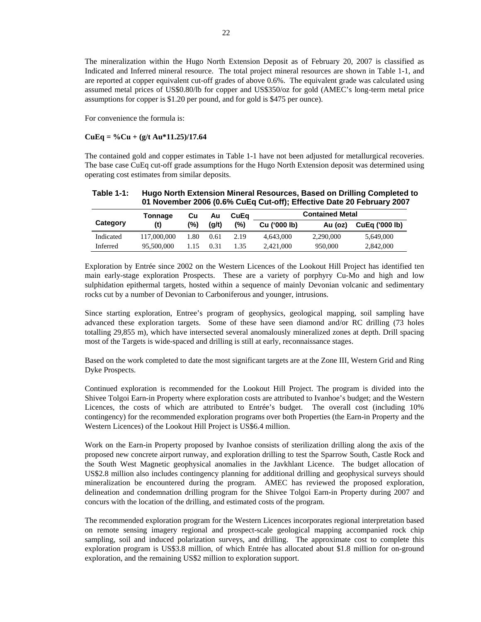The mineralization within the Hugo North Extension Deposit as of February 20, 2007 is classified as Indicated and Inferred mineral resource. The total project mineral resources are shown in Table 1-1, and are reported at copper equivalent cut-off grades of above 0.6%. The equivalent grade was calculated using assumed metal prices of US\$0.80/lb for copper and US\$350/oz for gold (AMEC's long-term metal price assumptions for copper is \$1.20 per pound, and for gold is \$475 per ounce).

For convenience the formula is:

#### **CuEq = %Cu + (g/t Au\*11.25)/17.64**

The contained gold and copper estimates in Table 1-1 have not been adjusted for metallurgical recoveries. The base case CuEq cut-off grade assumptions for the Hugo North Extension deposit was determined using operating cost estimates from similar deposits.

| Table 1-1: | Hugo North Extension Mineral Resources, Based on Drilling Completed to |
|------------|------------------------------------------------------------------------|
|            | 01 November 2006 (0.6% CuEq Cut-off); Effective Date 20 February 2007  |

|           | Tonnage     | Cu   | Au    | CuEa | <b>Contained Metal</b> |           |                       |
|-----------|-------------|------|-------|------|------------------------|-----------|-----------------------|
| Category  | (t)         | (%)  | (q/t) | (%)  | Cu ('000 lb)           | Au (oz)   | <b>CuEg ('000 lb)</b> |
| Indicated | 117,000,000 | 1.80 | 0.61  | 2.19 | 4.643.000              | 2,290,000 | 5.649,000             |
| Inferred  | 95,500,000  | 1.15 | 0.31  | 1.35 | 2.421,000              | 950,000   | 2,842,000             |

Exploration by Entrée since 2002 on the Western Licences of the Lookout Hill Project has identified ten main early-stage exploration Prospects. These are a variety of porphyry Cu-Mo and high and low sulphidation epithermal targets, hosted within a sequence of mainly Devonian volcanic and sedimentary rocks cut by a number of Devonian to Carboniferous and younger, intrusions.

Since starting exploration, Entree's program of geophysics, geological mapping, soil sampling have advanced these exploration targets. Some of these have seen diamond and/or RC drilling (73 holes totalling 29,855 m), which have intersected several anomalously mineralized zones at depth. Drill spacing most of the Targets is wide-spaced and drilling is still at early, reconnaissance stages.

Based on the work completed to date the most significant targets are at the Zone III, Western Grid and Ring Dyke Prospects.

Continued exploration is recommended for the Lookout Hill Project. The program is divided into the Shivee Tolgoi Earn-in Property where exploration costs are attributed to Ivanhoe's budget; and the Western Licences, the costs of which are attributed to Entrée's budget. The overall cost (including 10% contingency) for the recommended exploration programs over both Properties (the Earn-in Property and the Western Licences) of the Lookout Hill Project is US\$6.4 million.

Work on the Earn-in Property proposed by Ivanhoe consists of sterilization drilling along the axis of the proposed new concrete airport runway, and exploration drilling to test the Sparrow South, Castle Rock and the South West Magnetic geophysical anomalies in the Javkhlant Licence. The budget allocation of US\$2.8 million also includes contingency planning for additional drilling and geophysical surveys should mineralization be encountered during the program. AMEC has reviewed the proposed exploration, delineation and condemnation drilling program for the Shivee Tolgoi Earn-in Property during 2007 and concurs with the location of the drilling, and estimated costs of the program.

The recommended exploration program for the Western Licences incorporates regional interpretation based on remote sensing imagery regional and prospect-scale geological mapping accompanied rock chip sampling, soil and induced polarization surveys, and drilling. The approximate cost to complete this exploration program is US\$3.8 million, of which Entrée has allocated about \$1.8 million for on-ground exploration, and the remaining US\$2 million to exploration support.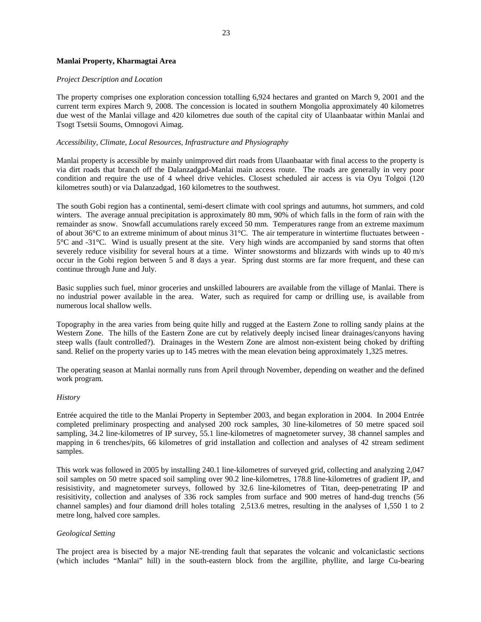#### **Manlai Property, Kharmagtai Area**

#### *Project Description and Location*

The property comprises one exploration concession totalling 6,924 hectares and granted on March 9, 2001 and the current term expires March 9, 2008. The concession is located in southern Mongolia approximately 40 kilometres due west of the Manlai village and 420 kilometres due south of the capital city of Ulaanbaatar within Manlai and Tsogt Tsetsii Soums, Omnogovi Aimag.

#### *Accessibility, Climate, Local Resources, Infrastructure and Physiography*

Manlai property is accessible by mainly unimproved dirt roads from Ulaanbaatar with final access to the property is via dirt roads that branch off the Dalanzadgad-Manlai main access route. The roads are generally in very poor condition and require the use of 4 wheel drive vehicles. Closest scheduled air access is via Oyu Tolgoi (120 kilometres south) or via Dalanzadgad, 160 kilometres to the southwest.

The south Gobi region has a continental, semi-desert climate with cool springs and autumns, hot summers, and cold winters. The average annual precipitation is approximately 80 mm, 90% of which falls in the form of rain with the remainder as snow. Snowfall accumulations rarely exceed 50 mm. Temperatures range from an extreme maximum of about 36°C to an extreme minimum of about minus 31°C. The air temperature in wintertime fluctuates between - 5°C and -31°C. Wind is usually present at the site. Very high winds are accompanied by sand storms that often severely reduce visibility for several hours at a time. Winter snowstorms and blizzards with winds up to 40 m/s occur in the Gobi region between 5 and 8 days a year. Spring dust storms are far more frequent, and these can continue through June and July.

Basic supplies such fuel, minor groceries and unskilled labourers are available from the village of Manlai. There is no industrial power available in the area. Water, such as required for camp or drilling use, is available from numerous local shallow wells.

Topography in the area varies from being quite hilly and rugged at the Eastern Zone to rolling sandy plains at the Western Zone. The hills of the Eastern Zone are cut by relatively deeply incised linear drainages/canyons having steep walls (fault controlled?). Drainages in the Western Zone are almost non-existent being choked by drifting sand. Relief on the property varies up to 145 metres with the mean elevation being approximately 1,325 metres.

The operating season at Manlai normally runs from April through November, depending on weather and the defined work program.

#### *History*

Entrée acquired the title to the Manlai Property in September 2003, and began exploration in 2004. In 2004 Entrée completed preliminary prospecting and analysed 200 rock samples, 30 line-kilometres of 50 metre spaced soil sampling, 34.2 line-kilometres of IP survey, 55.1 line-kilometres of magnetometer survey, 38 channel samples and mapping in 6 trenches/pits, 66 kilometres of grid installation and collection and analyses of 42 stream sediment samples.

This work was followed in 2005 by installing 240.1 line-kilometres of surveyed grid, collecting and analyzing 2,047 soil samples on 50 metre spaced soil sampling over 90.2 line-kilometres, 178.8 line-kilometres of gradient IP, and resisistivity, and magnetometer surveys, followed by 32.6 line-kilometres of Titan, deep-penetrating IP and resisitivity, collection and analyses of 336 rock samples from surface and 900 metres of hand-dug trenchs (56 channel samples) and four diamond drill holes totaling 2,513.6 metres, resulting in the analyses of 1,550 1 to 2 metre long, halved core samples.

#### *Geological Setting*

The project area is bisected by a major NE-trending fault that separates the volcanic and volcaniclastic sections (which includes "Manlai" hill) in the south-eastern block from the argillite, phyllite, and large Cu-bearing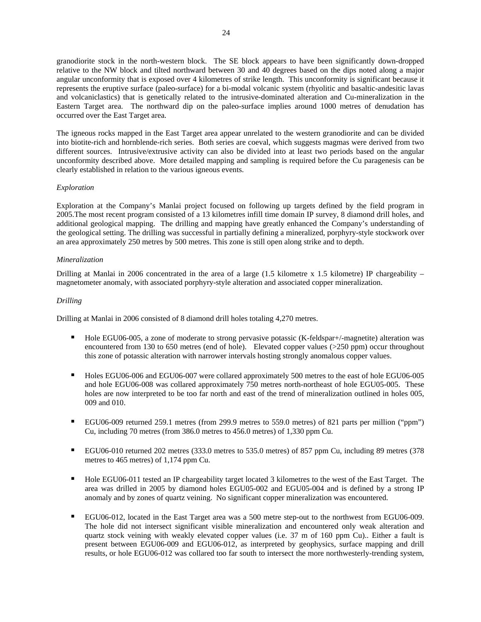granodiorite stock in the north-western block. The SE block appears to have been significantly down-dropped relative to the NW block and tilted northward between 30 and 40 degrees based on the dips noted along a major angular unconformity that is exposed over 4 kilometres of strike length. This unconformity is significant because it represents the eruptive surface (paleo-surface) for a bi-modal volcanic system (rhyolitic and basaltic-andesitic lavas and volcaniclastics) that is genetically related to the intrusive-dominated alteration and Cu-mineralization in the Eastern Target area. The northward dip on the paleo-surface implies around 1000 metres of denudation has occurred over the East Target area.

The igneous rocks mapped in the East Target area appear unrelated to the western granodiorite and can be divided into biotite-rich and hornblende-rich series. Both series are coeval, which suggests magmas were derived from two different sources. Intrusive/extrusive activity can also be divided into at least two periods based on the angular unconformity described above. More detailed mapping and sampling is required before the Cu paragenesis can be clearly established in relation to the various igneous events.

## *Exploration*

Exploration at the Company's Manlai project focused on following up targets defined by the field program in 2005.The most recent program consisted of a 13 kilometres infill time domain IP survey, 8 diamond drill holes, and additional geological mapping. The drilling and mapping have greatly enhanced the Company's understanding of the geological setting. The drilling was successful in partially defining a mineralized, porphyry-style stockwork over an area approximately 250 metres by 500 metres. This zone is still open along strike and to depth.

## *Mineralization*

Drilling at Manlai in 2006 concentrated in the area of a large (1.5 kilometre x 1.5 kilometre) IP chargeability  $$ magnetometer anomaly, with associated porphyry-style alteration and associated copper mineralization.

## *Drilling*

Drilling at Manlai in 2006 consisted of 8 diamond drill holes totaling 4,270 metres.

- Hole EGU06-005, a zone of moderate to strong pervasive potassic (K-feldspar+/-magnetite) alteration was encountered from 130 to 650 metres (end of hole). Elevated copper values (>250 ppm) occur throughout this zone of potassic alteration with narrower intervals hosting strongly anomalous copper values.
- Holes EGU06-006 and EGU06-007 were collared approximately 500 metres to the east of hole EGU06-005 and hole EGU06-008 was collared approximately 750 metres north-northeast of hole EGU05-005. These holes are now interpreted to be too far north and east of the trend of mineralization outlined in holes 005, 009 and 010.
- EGU06-009 returned 259.1 metres (from 299.9 metres to 559.0 metres) of 821 parts per million ("ppm") Cu, including 70 metres (from 386.0 metres to 456.0 metres) of 1,330 ppm Cu.
- EGU06-010 returned 202 metres (333.0 metres to 535.0 metres) of 857 ppm Cu, including 89 metres (378 metres to 465 metres) of 1,174 ppm Cu.
- Hole EGU06-011 tested an IP chargeability target located 3 kilometres to the west of the East Target. The area was drilled in 2005 by diamond holes EGU05-002 and EGU05-004 and is defined by a strong IP anomaly and by zones of quartz veining. No significant copper mineralization was encountered.
- EGU06-012, located in the East Target area was a 500 metre step-out to the northwest from EGU06-009. The hole did not intersect significant visible mineralization and encountered only weak alteration and quartz stock veining with weakly elevated copper values (i.e. 37 m of 160 ppm Cu).. Either a fault is present between EGU06-009 and EGU06-012, as interpreted by geophysics, surface mapping and drill results, or hole EGU06-012 was collared too far south to intersect the more northwesterly-trending system,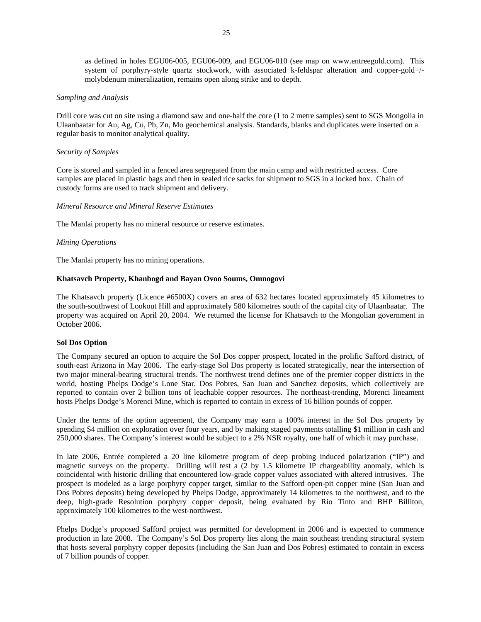as defined in holes EGU06-005, EGU06-009, and EGU06-010 (see map on www.entreegold.com). This system of porphyry-style quartz stockwork, with associated k-feldspar alteration and copper-gold+/ molybdenum mineralization, remains open along strike and to depth.

#### *Sampling and Analysis*

Drill core was cut on site using a diamond saw and one-half the core (1 to 2 metre samples) sent to SGS Mongolia in Ulaanbaatar for Au, Ag, Cu, Pb, Zn, Mo geochemical analysis. Standards, blanks and duplicates were inserted on a regular basis to monitor analytical quality.

#### *Security of Samples*

Core is stored and sampled in a fenced area segregated from the main camp and with restricted access. Core samples are placed in plastic bags and then in sealed rice sacks for shipment to SGS in a locked box. Chain of custody forms are used to track shipment and delivery.

#### *Mineral Resource and Mineral Reserve Estimates*

The Manlai property has no mineral resource or reserve estimates.

#### *Mining Operations*

The Manlai property has no mining operations.

#### **Khatsavch Property, Khanbogd and Bayan Ovoo Soums, Omnogovi**

The Khatsavch property (Licence #6500X) covers an area of 632 hectares located approximately 45 kilometres to the south-southwest of Lookout Hill and approximately 580 kilometres south of the capital city of Ulaanbaatar. The property was acquired on April 20, 2004. We returned the license for Khatsavch to the Mongolian government in October 2006.

#### **Sol Dos Option**

The Company secured an option to acquire the Sol Dos copper prospect, located in the prolific Safford district, of south-east Arizona in May 2006. The early-stage Sol Dos property is located strategically, near the intersection of two major mineral-bearing structural trends. The northwest trend defines one of the premier copper districts in the world, hosting Phelps Dodge's Lone Star, Dos Pobres, San Juan and Sanchez deposits, which collectively are reported to contain over 2 billion tons of leachable copper resources. The northeast-trending, Morenci lineament hosts Phelps Dodge's Morenci Mine, which is reported to contain in excess of 16 billion pounds of copper.

Under the terms of the option agreement, the Company may earn a 100% interest in the Sol Dos property by spending \$4 million on exploration over four years, and by making staged payments totalling \$1 million in cash and 250,000 shares. The Company's interest would be subject to a 2% NSR royalty, one half of which it may purchase.

In late 2006, Entrée completed a 20 line kilometre program of deep probing induced polarization ("IP") and magnetic surveys on the property. Drilling will test a (2 by 1.5 kilometre IP chargeability anomaly, which is coincidental with historic drilling that encountered low-grade copper values associated with altered intrusives. The prospect is modeled as a large porphyry copper target, similar to the Safford open-pit copper mine (San Juan and Dos Pobres deposits) being developed by Phelps Dodge, approximately 14 kilometres to the northwest, and to the deep, high-grade Resolution porphyry copper deposit, being evaluated by Rio Tinto and BHP Billiton, approximately 100 kilometres to the west-northwest.

Phelps Dodge's proposed Safford project was permitted for development in 2006 and is expected to commence production in late 2008. The Company's Sol Dos property lies along the main southeast trending structural system that hosts several porphyry copper deposits (including the San Juan and Dos Pobres) estimated to contain in excess of 7 billion pounds of copper.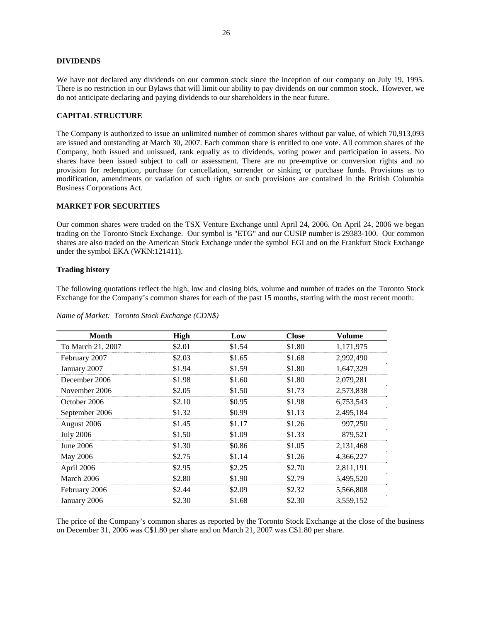#### **DIVIDENDS**

We have not declared any dividends on our common stock since the inception of our company on July 19, 1995. There is no restriction in our Bylaws that will limit our ability to pay dividends on our common stock. However, we do not anticipate declaring and paying dividends to our shareholders in the near future.

#### **CAPITAL STRUCTURE**

The Company is authorized to issue an unlimited number of common shares without par value, of which 70,913,093 are issued and outstanding at March 30, 2007. Each common share is entitled to one vote. All common shares of the Company, both issued and unissued, rank equally as to dividends, voting power and participation in assets. No shares have been issued subject to call or assessment. There are no pre-emptive or conversion rights and no provision for redemption, purchase for cancellation, surrender or sinking or purchase funds. Provisions as to modification, amendments or variation of such rights or such provisions are contained in the British Columbia Business Corporations Act.

#### **MARKET FOR SECURITIES**

Our common shares were traded on the TSX Venture Exchange until April 24, 2006. On April 24, 2006 we began trading on the Toronto Stock Exchange. Our symbol is "ETG" and our CUSIP number is 29383-100. Our common shares are also traded on the American Stock Exchange under the symbol EGI and on the Frankfurt Stock Exchange under the symbol EKA (WKN:121411).

#### **Trading history**

The following quotations reflect the high, low and closing bids, volume and number of trades on the Toronto Stock Exchange for the Company's common shares for each of the past 15 months, starting with the most recent month:

| <b>Month</b>      | <b>High</b> | Low    | <b>Close</b> | Volume    |
|-------------------|-------------|--------|--------------|-----------|
| To March 21, 2007 | \$2.01      | \$1.54 | \$1.80       | 1,171,975 |
| February 2007     | \$2.03      | \$1.65 | \$1.68       | 2,992,490 |
| January 2007      | \$1.94      | \$1.59 | \$1.80       | 1,647,329 |
| December 2006     | \$1.98      | \$1.60 | \$1.80       | 2,079,281 |
| November 2006     | \$2.05      | \$1.50 | \$1.73       | 2,573,838 |
| October 2006      | \$2.10      | \$0.95 | \$1.98       | 6,753,543 |
| September 2006    | \$1.32      | \$0.99 | \$1.13       | 2,495,184 |
| August 2006       | \$1.45      | \$1.17 | \$1.26       | 997,250   |
| <b>July 2006</b>  | \$1.50      | \$1.09 | \$1.33       | 879,521   |
| June 2006         | \$1.30      | \$0.86 | \$1.05       | 2,131,468 |
| <b>May 2006</b>   | \$2.75      | \$1.14 | \$1.26       | 4,366,227 |
| April 2006        | \$2.95      | \$2.25 | \$2.70       | 2,811,191 |
| March 2006        | \$2.80      | \$1.90 | \$2.79       | 5,495,520 |
| February 2006     | \$2.44      | \$2.09 | \$2.32       | 5,566,808 |
| January 2006      | \$2.30      | \$1.68 | \$2.30       | 3,559,152 |

*Name of Market: Toronto Stock Exchange (CDN\$)* 

The price of the Company's common shares as reported by the Toronto Stock Exchange at the close of the business on December 31, 2006 was C\$1.80 per share and on March 21, 2007 was C\$1.80 per share.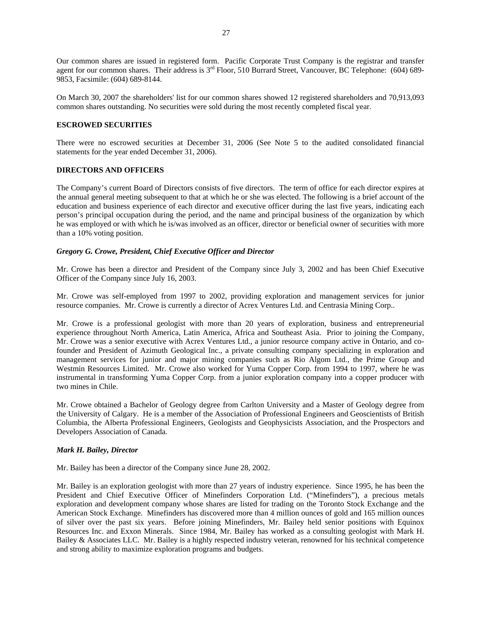Our common shares are issued in registered form. Pacific Corporate Trust Company is the registrar and transfer agent for our common shares. Their address is 3<sup>rd</sup> Floor, 510 Burrard Street, Vancouver, BC Telephone: (604) 689-9853, Facsimile: (604) 689-8144.

On March 30, 2007 the shareholders' list for our common shares showed 12 registered shareholders and 70,913,093 common shares outstanding. No securities were sold during the most recently completed fiscal year.

## **ESCROWED SECURITIES**

There were no escrowed securities at December 31, 2006 (See Note 5 to the audited consolidated financial statements for the year ended December 31, 2006).

#### **DIRECTORS AND OFFICERS**

The Company's current Board of Directors consists of five directors. The term of office for each director expires at the annual general meeting subsequent to that at which he or she was elected. The following is a brief account of the education and business experience of each director and executive officer during the last five years, indicating each person's principal occupation during the period, and the name and principal business of the organization by which he was employed or with which he is/was involved as an officer, director or beneficial owner of securities with more than a 10% voting position.

## *Gregory G. Crowe, President, Chief Executive Officer and Director*

Mr. Crowe has been a director and President of the Company since July 3, 2002 and has been Chief Executive Officer of the Company since July 16, 2003.

Mr. Crowe was self-employed from 1997 to 2002, providing exploration and management services for junior resource companies. Mr. Crowe is currently a director of Acrex Ventures Ltd. and Centrasia Mining Corp..

Mr. Crowe is a professional geologist with more than 20 years of exploration, business and entrepreneurial experience throughout North America, Latin America, Africa and Southeast Asia. Prior to joining the Company, Mr. Crowe was a senior executive with Acrex Ventures Ltd., a junior resource company active in Ontario, and cofounder and President of Azimuth Geological Inc., a private consulting company specializing in exploration and management services for junior and major mining companies such as Rio Algom Ltd., the Prime Group and Westmin Resources Limited. Mr. Crowe also worked for Yuma Copper Corp. from 1994 to 1997, where he was instrumental in transforming Yuma Copper Corp. from a junior exploration company into a copper producer with two mines in Chile.

Mr. Crowe obtained a Bachelor of Geology degree from Carlton University and a Master of Geology degree from the University of Calgary. He is a member of the Association of Professional Engineers and Geoscientists of British Columbia, the Alberta Professional Engineers, Geologists and Geophysicists Association, and the Prospectors and Developers Association of Canada.

#### *Mark H. Bailey, Director*

Mr. Bailey has been a director of the Company since June 28, 2002.

Mr. Bailey is an exploration geologist with more than 27 years of industry experience. Since 1995, he has been the President and Chief Executive Officer of Minefinders Corporation Ltd. ("Minefinders"), a precious metals exploration and development company whose shares are listed for trading on the Toronto Stock Exchange and the American Stock Exchange. Minefinders has discovered more than 4 million ounces of gold and 165 million ounces of silver over the past six years. Before joining Minefinders, Mr. Bailey held senior positions with Equinox Resources Inc. and Exxon Minerals. Since 1984, Mr. Bailey has worked as a consulting geologist with Mark H. Bailey & Associates LLC. Mr. Bailey is a highly respected industry veteran, renowned for his technical competence and strong ability to maximize exploration programs and budgets.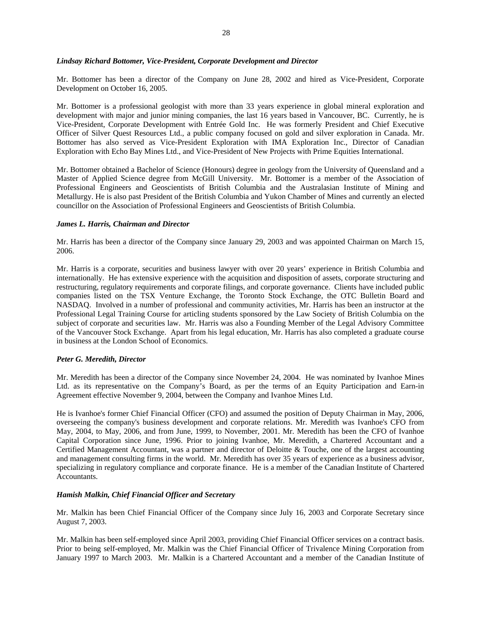#### *Lindsay Richard Bottomer, Vice-President, Corporate Development and Director*

Mr. Bottomer has been a director of the Company on June 28, 2002 and hired as Vice-President, Corporate Development on October 16, 2005.

Mr. Bottomer is a professional geologist with more than 33 years experience in global mineral exploration and development with major and junior mining companies, the last 16 years based in Vancouver, BC. Currently, he is Vice-President, Corporate Development with Entrée Gold Inc. He was formerly President and Chief Executive Officer of Silver Quest Resources Ltd., a public company focused on gold and silver exploration in Canada. Mr. Bottomer has also served as Vice-President Exploration with IMA Exploration Inc., Director of Canadian Exploration with Echo Bay Mines Ltd., and Vice-President of New Projects with Prime Equities International.

Mr. Bottomer obtained a Bachelor of Science (Honours) degree in geology from the University of Queensland and a Master of Applied Science degree from McGill University. Mr. Bottomer is a member of the Association of Professional Engineers and Geoscientists of British Columbia and the Australasian Institute of Mining and Metallurgy. He is also past President of the British Columbia and Yukon Chamber of Mines and currently an elected councillor on the Association of Professional Engineers and Geoscientists of British Columbia.

#### *James L. Harris, Chairman and Director*

Mr. Harris has been a director of the Company since January 29, 2003 and was appointed Chairman on March 15, 2006.

Mr. Harris is a corporate, securities and business lawyer with over 20 years' experience in British Columbia and internationally. He has extensive experience with the acquisition and disposition of assets, corporate structuring and restructuring, regulatory requirements and corporate filings, and corporate governance. Clients have included public companies listed on the TSX Venture Exchange, the Toronto Stock Exchange, the OTC Bulletin Board and NASDAQ. Involved in a number of professional and community activities, Mr. Harris has been an instructor at the Professional Legal Training Course for articling students sponsored by the Law Society of British Columbia on the subject of corporate and securities law. Mr. Harris was also a Founding Member of the Legal Advisory Committee of the Vancouver Stock Exchange. Apart from his legal education, Mr. Harris has also completed a graduate course in business at the London School of Economics.

### *Peter G. Meredith, Director*

Mr. Meredith has been a director of the Company since November 24, 2004. He was nominated by Ivanhoe Mines Ltd. as its representative on the Company's Board, as per the terms of an Equity Participation and Earn-in Agreement effective November 9, 2004, between the Company and Ivanhoe Mines Ltd.

He is Ivanhoe's former Chief Financial Officer (CFO) and assumed the position of Deputy Chairman in May, 2006, overseeing the company's business development and corporate relations. Mr. Meredith was Ivanhoe's CFO from May, 2004, to May, 2006, and from June, 1999, to November, 2001. Mr. Meredith has been the CFO of Ivanhoe Capital Corporation since June, 1996. Prior to joining Ivanhoe, Mr. Meredith, a Chartered Accountant and a Certified Management Accountant, was a partner and director of Deloitte & Touche, one of the largest accounting and management consulting firms in the world. Mr. Meredith has over 35 years of experience as a business advisor, specializing in regulatory compliance and corporate finance. He is a member of the Canadian Institute of Chartered Accountants.

#### *Hamish Malkin, Chief Financial Officer and Secretary*

Mr. Malkin has been Chief Financial Officer of the Company since July 16, 2003 and Corporate Secretary since August 7, 2003.

Mr. Malkin has been self-employed since April 2003, providing Chief Financial Officer services on a contract basis. Prior to being self-employed, Mr. Malkin was the Chief Financial Officer of Trivalence Mining Corporation from January 1997 to March 2003. Mr. Malkin is a Chartered Accountant and a member of the Canadian Institute of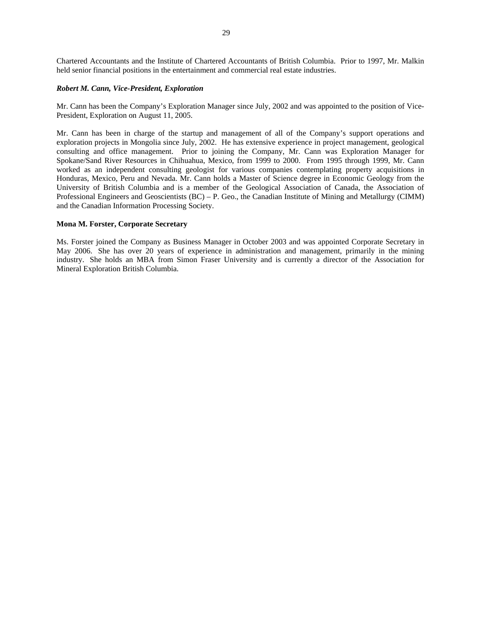Chartered Accountants and the Institute of Chartered Accountants of British Columbia. Prior to 1997, Mr. Malkin held senior financial positions in the entertainment and commercial real estate industries.

#### *Robert M. Cann, Vice-President, Exploration*

Mr. Cann has been the Company's Exploration Manager since July, 2002 and was appointed to the position of Vice-President, Exploration on August 11, 2005.

Mr. Cann has been in charge of the startup and management of all of the Company's support operations and exploration projects in Mongolia since July, 2002. He has extensive experience in project management, geological consulting and office management. Prior to joining the Company, Mr. Cann was Exploration Manager for Spokane/Sand River Resources in Chihuahua, Mexico, from 1999 to 2000. From 1995 through 1999, Mr. Cann worked as an independent consulting geologist for various companies contemplating property acquisitions in Honduras, Mexico, Peru and Nevada. Mr. Cann holds a Master of Science degree in Economic Geology from the University of British Columbia and is a member of the Geological Association of Canada, the Association of Professional Engineers and Geoscientists (BC) – P. Geo., the Canadian Institute of Mining and Metallurgy (CIMM) and the Canadian Information Processing Society.

#### **Mona M. Forster, Corporate Secretary**

Ms. Forster joined the Company as Business Manager in October 2003 and was appointed Corporate Secretary in May 2006. She has over 20 years of experience in administration and management, primarily in the mining industry. She holds an MBA from Simon Fraser University and is currently a director of the Association for Mineral Exploration British Columbia.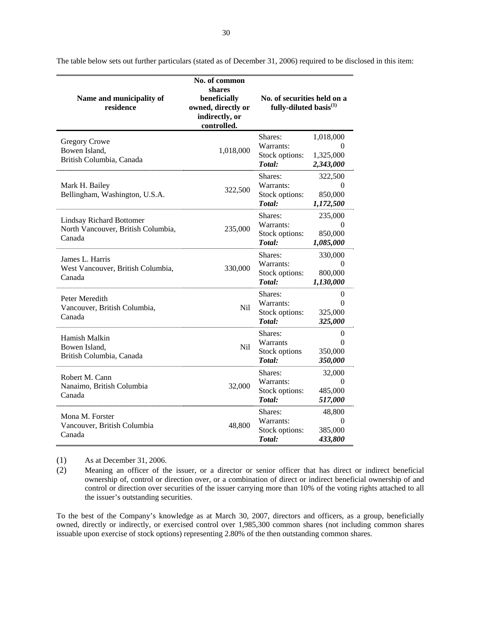| Name and municipality of<br>residence                                           | No. of common<br>shares<br>beneficially<br>owned, directly or<br>indirectly, or<br>controlled. | No. of securities held on a<br>fully-diluted basis $(1)$ |                                             |
|---------------------------------------------------------------------------------|------------------------------------------------------------------------------------------------|----------------------------------------------------------|---------------------------------------------|
| <b>Gregory Crowe</b><br>Bowen Island,<br>British Columbia, Canada               | 1,018,000                                                                                      | Shares:<br>Warrants:<br>Stock options:<br>Total:         | 1,018,000<br>0<br>1,325,000<br>2,343,000    |
| Mark H. Bailey<br>Bellingham, Washington, U.S.A.                                | 322,500                                                                                        | Shares:<br>Warrants:<br>Stock options:<br>Total:         | 322,500<br>$\theta$<br>850,000<br>1,172,500 |
| <b>Lindsay Richard Bottomer</b><br>North Vancouver, British Columbia,<br>Canada | 235,000                                                                                        | Shares:<br>Warrants:<br>Stock options:<br>Total:         | 235,000<br>$\Omega$<br>850,000<br>1,085,000 |
| James L. Harris<br>West Vancouver, British Columbia,<br>Canada                  | 330,000                                                                                        | Shares:<br>Warrants:<br>Stock options:<br>Total:         | 330,000<br>$\Omega$<br>800,000<br>1,130,000 |
| Peter Meredith<br>Vancouver, British Columbia,<br>Canada                        | N <sub>il</sub>                                                                                | Shares:<br>Warrants:<br>Stock options:<br>Total:         | 0<br>$\Omega$<br>325,000<br>325,000         |
| Hamish Malkin<br>Bowen Island,<br>British Columbia, Canada                      | N <sub>il</sub>                                                                                | Shares:<br>Warrants<br>Stock options<br>Total:           | 0<br>$\Omega$<br>350,000<br>350,000         |
| Robert M. Cann<br>Nanaimo, British Columbia<br>Canada                           | 32,000                                                                                         | Shares:<br>Warrants:<br>Stock options:<br>Total:         | 32,000<br>$\Omega$<br>485,000<br>517,000    |
| Mona M. Forster<br>Vancouver, British Columbia<br>Canada                        | 48,800                                                                                         | Shares:<br>Warrants:<br>Stock options:<br>Total:         | 48,800<br>$\Omega$<br>385,000<br>433,800    |

The table below sets out further particulars (stated as of December 31, 2006) required to be disclosed in this item:

(1) As at December 31, 2006.

(2) Meaning an officer of the issuer, or a director or senior officer that has direct or indirect beneficial ownership of, control or direction over, or a combination of direct or indirect beneficial ownership of and control or direction over securities of the issuer carrying more than 10% of the voting rights attached to all the issuer's outstanding securities.

To the best of the Company's knowledge as at March 30, 2007, directors and officers, as a group, beneficially owned, directly or indirectly, or exercised control over 1,985,300 common shares (not including common shares issuable upon exercise of stock options) representing 2.80% of the then outstanding common shares.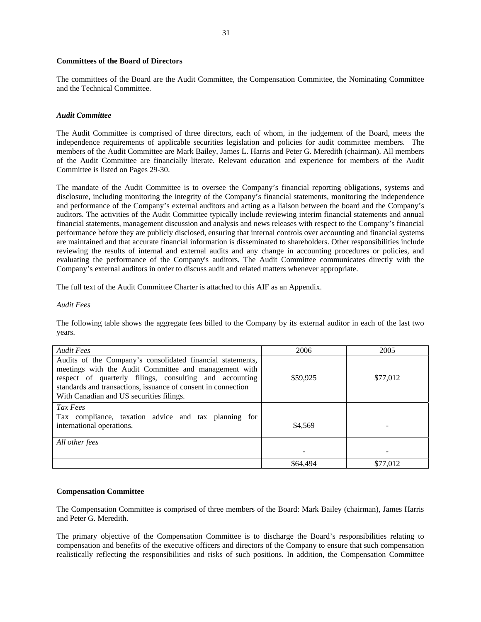#### **Committees of the Board of Directors**

The committees of the Board are the Audit Committee, the Compensation Committee, the Nominating Committee and the Technical Committee.

#### *Audit Committee*

The Audit Committee is comprised of three directors, each of whom, in the judgement of the Board, meets the independence requirements of applicable securities legislation and policies for audit committee members. The members of the Audit Committee are Mark Bailey, James L. Harris and Peter G. Meredith (chairman). All members of the Audit Committee are financially literate. Relevant education and experience for members of the Audit Committee is listed on Pages 29-30.

The mandate of the Audit Committee is to oversee the Company's financial reporting obligations, systems and disclosure, including monitoring the integrity of the Company's financial statements, monitoring the independence and performance of the Company's external auditors and acting as a liaison between the board and the Company's auditors. The activities of the Audit Committee typically include reviewing interim financial statements and annual financial statements, management discussion and analysis and news releases with respect to the Company's financial performance before they are publicly disclosed, ensuring that internal controls over accounting and financial systems are maintained and that accurate financial information is disseminated to shareholders. Other responsibilities include reviewing the results of internal and external audits and any change in accounting procedures or policies, and evaluating the performance of the Company's auditors. The Audit Committee communicates directly with the Company's external auditors in order to discuss audit and related matters whenever appropriate.

The full text of the Audit Committee Charter is attached to this AIF as an Appendix.

#### *Audit Fees*

The following table shows the aggregate fees billed to the Company by its external auditor in each of the last two years.

| <b>Audit Fees</b>                                                                                                                                                                                                                                                                           | 2006     | 2005     |
|---------------------------------------------------------------------------------------------------------------------------------------------------------------------------------------------------------------------------------------------------------------------------------------------|----------|----------|
| Audits of the Company's consolidated financial statements,<br>meetings with the Audit Committee and management with<br>respect of quarterly filings, consulting and accounting<br>standards and transactions, issuance of consent in connection<br>With Canadian and US securities filings. | \$59,925 | \$77,012 |
| Tax Fees                                                                                                                                                                                                                                                                                    |          |          |
| Tax compliance, taxation advice and tax planning for<br>international operations.                                                                                                                                                                                                           | \$4.569  |          |
| All other fees                                                                                                                                                                                                                                                                              |          |          |
|                                                                                                                                                                                                                                                                                             |          |          |
|                                                                                                                                                                                                                                                                                             | \$64,494 | \$77,012 |

#### **Compensation Committee**

The Compensation Committee is comprised of three members of the Board: Mark Bailey (chairman), James Harris and Peter G. Meredith.

The primary objective of the Compensation Committee is to discharge the Board's responsibilities relating to compensation and benefits of the executive officers and directors of the Company to ensure that such compensation realistically reflecting the responsibilities and risks of such positions. In addition, the Compensation Committee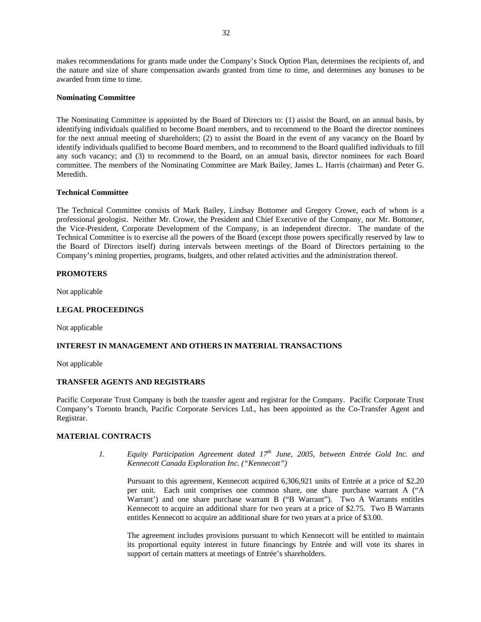makes recommendations for grants made under the Company's Stock Option Plan, determines the recipients of, and the nature and size of share compensation awards granted from time to time, and determines any bonuses to be awarded from time to time.

### **Nominating Committee**

The Nominating Committee is appointed by the Board of Directors to: (1) assist the Board, on an annual basis, by identifying individuals qualified to become Board members, and to recommend to the Board the director nominees for the next annual meeting of shareholders; (2) to assist the Board in the event of any vacancy on the Board by identify individuals qualified to become Board members, and to recommend to the Board qualified individuals to fill any such vacancy; and (3) to recommend to the Board, on an annual basis, director nominees for each Board committee. The members of the Nominating Committee are Mark Bailey, James L. Harris (chairman) and Peter G. Meredith.

## **Technical Committee**

The Technical Committee consists of Mark Bailey, Lindsay Bottomer and Gregory Crowe, each of whom is a professional geologist. Neither Mr. Crowe, the President and Chief Executive of the Company, nor Mr. Bottomer, the Vice-President, Corporate Development of the Company, is an independent director. The mandate of the Technical Committee is to exercise all the powers of the Board (except those powers specifically reserved by law to the Board of Directors itself) during intervals between meetings of the Board of Directors pertaining to the Company's mining properties, programs, budgets, and other related activities and the administration thereof.

## **PROMOTERS**

Not applicable

### **LEGAL PROCEEDINGS**

Not applicable

## **INTEREST IN MANAGEMENT AND OTHERS IN MATERIAL TRANSACTIONS**

Not applicable

#### **TRANSFER AGENTS AND REGISTRARS**

Pacific Corporate Trust Company is both the transfer agent and registrar for the Company. Pacific Corporate Trust Company's Toronto branch, Pacific Corporate Services Ltd., has been appointed as the Co-Transfer Agent and Registrar.

#### **MATERIAL CONTRACTS**

*1. Equity Participation Agreement dated 17th June, 2005, between Entrée Gold Inc. and Kennecott Canada Exploration Inc. ("Kennecott")* 

Pursuant to this agreement, Kennecott acquired 6,306,921 units of Entrée at a price of \$2.20 per unit. Each unit comprises one common share, one share purchase warrant A ("A Warrant') and one share purchase warrant B ("B Warrant"). Two A Warrants entitles Kennecott to acquire an additional share for two years at a price of \$2.75. Two B Warrants entitles Kennecott to acquire an additional share for two years at a price of \$3.00.

The agreement includes provisions pursuant to which Kennecott will be entitled to maintain its proportional equity interest in future financings by Entrée and will vote its shares in support of certain matters at meetings of Entrée's shareholders.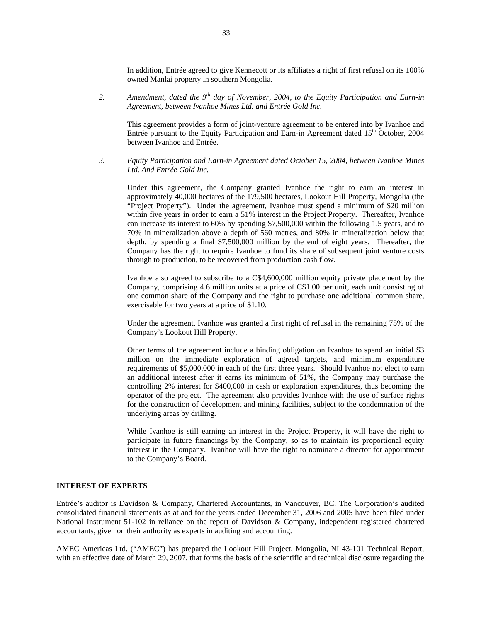In addition, Entrée agreed to give Kennecott or its affiliates a right of first refusal on its 100% owned Manlai property in southern Mongolia.

*2. Amendment, dated the 9th day of November, 2004, to the Equity Participation and Earn-in Agreement, between Ivanhoe Mines Ltd. and Entrée Gold Inc.* 

This agreement provides a form of joint-venture agreement to be entered into by Ivanhoe and Entrée pursuant to the Equity Participation and Earn-in Agreement dated  $15<sup>th</sup>$  October, 2004 between Ivanhoe and Entrée.

*3. Equity Participation and Earn-in Agreement dated October 15, 2004, between Ivanhoe Mines Ltd. And Entrée Gold Inc.* 

Under this agreement, the Company granted Ivanhoe the right to earn an interest in approximately 40,000 hectares of the 179,500 hectares, Lookout Hill Property, Mongolia (the "Project Property"). Under the agreement, Ivanhoe must spend a minimum of \$20 million within five years in order to earn a 51% interest in the Project Property. Thereafter, Ivanhoe can increase its interest to 60% by spending \$7,500,000 within the following 1.5 years, and to 70% in mineralization above a depth of 560 metres, and 80% in mineralization below that depth, by spending a final \$7,500,000 million by the end of eight years. Thereafter, the Company has the right to require Ivanhoe to fund its share of subsequent joint venture costs through to production, to be recovered from production cash flow.

Ivanhoe also agreed to subscribe to a C\$4,600,000 million equity private placement by the Company, comprising 4.6 million units at a price of C\$1.00 per unit, each unit consisting of one common share of the Company and the right to purchase one additional common share, exercisable for two years at a price of \$1.10.

Under the agreement, Ivanhoe was granted a first right of refusal in the remaining 75% of the Company's Lookout Hill Property.

Other terms of the agreement include a binding obligation on Ivanhoe to spend an initial \$3 million on the immediate exploration of agreed targets, and minimum expenditure requirements of \$5,000,000 in each of the first three years. Should Ivanhoe not elect to earn an additional interest after it earns its minimum of 51%, the Company may purchase the controlling 2% interest for \$400,000 in cash or exploration expenditures, thus becoming the operator of the project. The agreement also provides Ivanhoe with the use of surface rights for the construction of development and mining facilities, subject to the condemnation of the underlying areas by drilling.

While Ivanhoe is still earning an interest in the Project Property, it will have the right to participate in future financings by the Company, so as to maintain its proportional equity interest in the Company. Ivanhoe will have the right to nominate a director for appointment to the Company's Board.

#### **INTEREST OF EXPERTS**

Entrée's auditor is Davidson & Company, Chartered Accountants, in Vancouver, BC. The Corporation's audited consolidated financial statements as at and for the years ended December 31, 2006 and 2005 have been filed under National Instrument 51-102 in reliance on the report of Davidson & Company, independent registered chartered accountants, given on their authority as experts in auditing and accounting.

AMEC Americas Ltd. ("AMEC") has prepared the Lookout Hill Project, Mongolia, NI 43-101 Technical Report, with an effective date of March 29, 2007, that forms the basis of the scientific and technical disclosure regarding the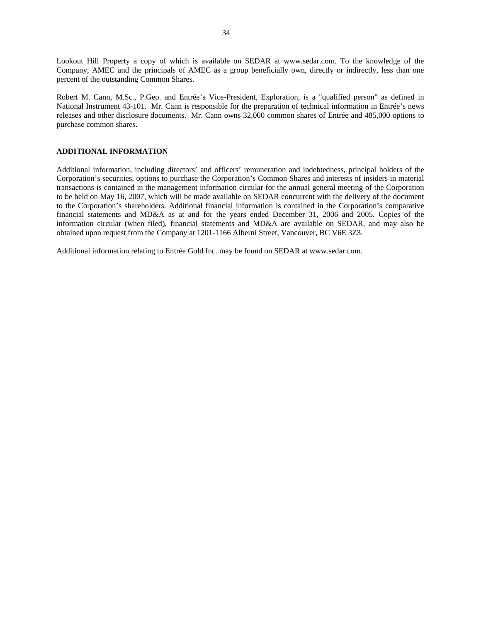Lookout Hill Property a copy of which is available on SEDAR at www.sedar.com. To the knowledge of the Company, AMEC and the principals of AMEC as a group beneficially own, directly or indirectly, less than one percent of the outstanding Common Shares.

Robert M. Cann, M.Sc., P.Geo. and Entrée's Vice-President, Exploration, is a "qualified person" as defined in National Instrument 43-101. Mr. Cann is responsible for the preparation of technical information in Entrée's news releases and other disclosure documents. Mr. Cann owns 32,000 common shares of Entrée and 485,000 options to purchase common shares.

### **ADDITIONAL INFORMATION**

Additional information, including directors' and officers' remuneration and indebtedness, principal holders of the Corporation's securities, options to purchase the Corporation's Common Shares and interests of insiders in material transactions is contained in the management information circular for the annual general meeting of the Corporation to be held on May 16, 2007, which will be made available on SEDAR concurrent with the delivery of the document to the Corporation's shareholders. Additional financial information is contained in the Corporation's comparative financial statements and MD&A as at and for the years ended December 31, 2006 and 2005. Copies of the information circular (when filed), financial statements and MD&A are available on SEDAR, and may also be obtained upon request from the Company at 1201-1166 Alberni Street, Vancouver, BC V6E 3Z3.

Additional information relating to Entrée Gold Inc. may be found on SEDAR at www.sedar.com.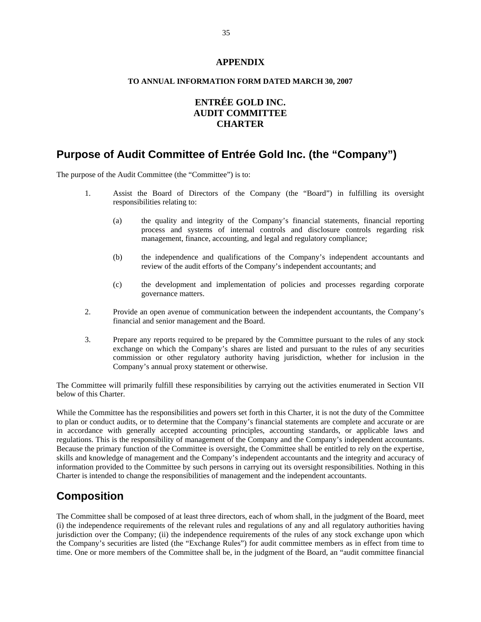## **APPENDIX**

## **TO ANNUAL INFORMATION FORM DATED MARCH 30, 2007**

## **ENTRÉE GOLD INC. AUDIT COMMITTEE CHARTER**

## **Purpose of Audit Committee of Entrée Gold Inc. (the "Company")**

The purpose of the Audit Committee (the "Committee") is to:

- 1. Assist the Board of Directors of the Company (the "Board") in fulfilling its oversight responsibilities relating to:
	- (a) the quality and integrity of the Company's financial statements, financial reporting process and systems of internal controls and disclosure controls regarding risk management, finance, accounting, and legal and regulatory compliance;
	- (b) the independence and qualifications of the Company's independent accountants and review of the audit efforts of the Company's independent accountants; and
	- (c) the development and implementation of policies and processes regarding corporate governance matters.
- 2. Provide an open avenue of communication between the independent accountants, the Company's financial and senior management and the Board.
- 3. Prepare any reports required to be prepared by the Committee pursuant to the rules of any stock exchange on which the Company's shares are listed and pursuant to the rules of any securities commission or other regulatory authority having jurisdiction, whether for inclusion in the Company's annual proxy statement or otherwise.

The Committee will primarily fulfill these responsibilities by carrying out the activities enumerated in Section VII below of this Charter.

While the Committee has the responsibilities and powers set forth in this Charter, it is not the duty of the Committee to plan or conduct audits, or to determine that the Company's financial statements are complete and accurate or are in accordance with generally accepted accounting principles, accounting standards, or applicable laws and regulations. This is the responsibility of management of the Company and the Company's independent accountants. Because the primary function of the Committee is oversight, the Committee shall be entitled to rely on the expertise, skills and knowledge of management and the Company's independent accountants and the integrity and accuracy of information provided to the Committee by such persons in carrying out its oversight responsibilities. Nothing in this Charter is intended to change the responsibilities of management and the independent accountants.

## **Composition**

The Committee shall be composed of at least three directors, each of whom shall, in the judgment of the Board, meet (i) the independence requirements of the relevant rules and regulations of any and all regulatory authorities having jurisdiction over the Company; (ii) the independence requirements of the rules of any stock exchange upon which the Company's securities are listed (the "Exchange Rules") for audit committee members as in effect from time to time. One or more members of the Committee shall be, in the judgment of the Board, an "audit committee financial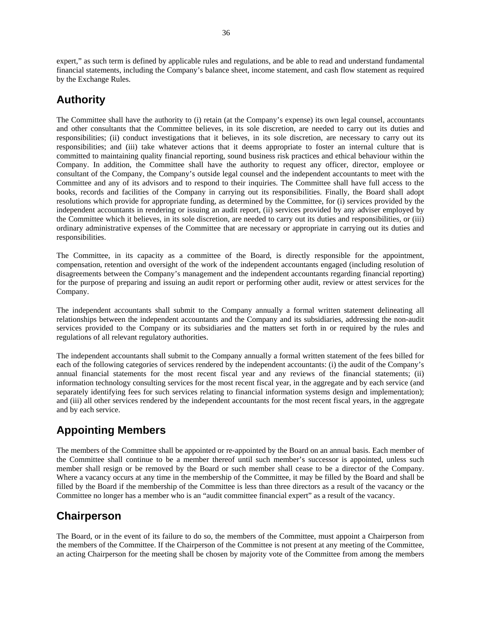expert," as such term is defined by applicable rules and regulations, and be able to read and understand fundamental financial statements, including the Company's balance sheet, income statement, and cash flow statement as required by the Exchange Rules.

## **Authority**

The Committee shall have the authority to (i) retain (at the Company's expense) its own legal counsel, accountants and other consultants that the Committee believes, in its sole discretion, are needed to carry out its duties and responsibilities; (ii) conduct investigations that it believes, in its sole discretion, are necessary to carry out its responsibilities; and (iii) take whatever actions that it deems appropriate to foster an internal culture that is committed to maintaining quality financial reporting, sound business risk practices and ethical behaviour within the Company. In addition, the Committee shall have the authority to request any officer, director, employee or consultant of the Company, the Company's outside legal counsel and the independent accountants to meet with the Committee and any of its advisors and to respond to their inquiries. The Committee shall have full access to the books, records and facilities of the Company in carrying out its responsibilities. Finally, the Board shall adopt resolutions which provide for appropriate funding, as determined by the Committee, for (i) services provided by the independent accountants in rendering or issuing an audit report, (ii) services provided by any adviser employed by the Committee which it believes, in its sole discretion, are needed to carry out its duties and responsibilities, or (iii) ordinary administrative expenses of the Committee that are necessary or appropriate in carrying out its duties and responsibilities.

The Committee, in its capacity as a committee of the Board, is directly responsible for the appointment, compensation, retention and oversight of the work of the independent accountants engaged (including resolution of disagreements between the Company's management and the independent accountants regarding financial reporting) for the purpose of preparing and issuing an audit report or performing other audit, review or attest services for the Company.

The independent accountants shall submit to the Company annually a formal written statement delineating all relationships between the independent accountants and the Company and its subsidiaries, addressing the non-audit services provided to the Company or its subsidiaries and the matters set forth in or required by the rules and regulations of all relevant regulatory authorities.

The independent accountants shall submit to the Company annually a formal written statement of the fees billed for each of the following categories of services rendered by the independent accountants: (i) the audit of the Company's annual financial statements for the most recent fiscal year and any reviews of the financial statements; (ii) information technology consulting services for the most recent fiscal year, in the aggregate and by each service (and separately identifying fees for such services relating to financial information systems design and implementation); and (iii) all other services rendered by the independent accountants for the most recent fiscal years, in the aggregate and by each service.

## **Appointing Members**

The members of the Committee shall be appointed or re-appointed by the Board on an annual basis. Each member of the Committee shall continue to be a member thereof until such member's successor is appointed, unless such member shall resign or be removed by the Board or such member shall cease to be a director of the Company. Where a vacancy occurs at any time in the membership of the Committee, it may be filled by the Board and shall be filled by the Board if the membership of the Committee is less than three directors as a result of the vacancy or the Committee no longer has a member who is an "audit committee financial expert" as a result of the vacancy.

## **Chairperson**

The Board, or in the event of its failure to do so, the members of the Committee, must appoint a Chairperson from the members of the Committee. If the Chairperson of the Committee is not present at any meeting of the Committee, an acting Chairperson for the meeting shall be chosen by majority vote of the Committee from among the members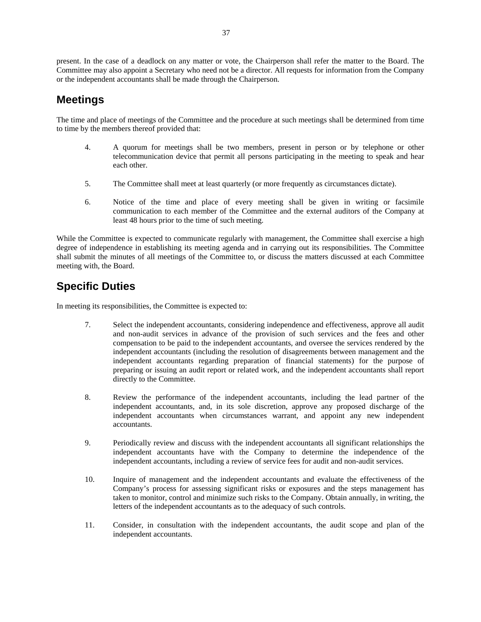present. In the case of a deadlock on any matter or vote, the Chairperson shall refer the matter to the Board. The Committee may also appoint a Secretary who need not be a director. All requests for information from the Company or the independent accountants shall be made through the Chairperson.

## **Meetings**

The time and place of meetings of the Committee and the procedure at such meetings shall be determined from time to time by the members thereof provided that:

- 4. A quorum for meetings shall be two members, present in person or by telephone or other telecommunication device that permit all persons participating in the meeting to speak and hear each other.
- 5. The Committee shall meet at least quarterly (or more frequently as circumstances dictate).
- 6. Notice of the time and place of every meeting shall be given in writing or facsimile communication to each member of the Committee and the external auditors of the Company at least 48 hours prior to the time of such meeting.

While the Committee is expected to communicate regularly with management, the Committee shall exercise a high degree of independence in establishing its meeting agenda and in carrying out its responsibilities. The Committee shall submit the minutes of all meetings of the Committee to, or discuss the matters discussed at each Committee meeting with, the Board.

## **Specific Duties**

In meeting its responsibilities, the Committee is expected to:

- 7. Select the independent accountants, considering independence and effectiveness, approve all audit and non-audit services in advance of the provision of such services and the fees and other compensation to be paid to the independent accountants, and oversee the services rendered by the independent accountants (including the resolution of disagreements between management and the independent accountants regarding preparation of financial statements) for the purpose of preparing or issuing an audit report or related work, and the independent accountants shall report directly to the Committee.
- 8. Review the performance of the independent accountants, including the lead partner of the independent accountants, and, in its sole discretion, approve any proposed discharge of the independent accountants when circumstances warrant, and appoint any new independent accountants.
- 9. Periodically review and discuss with the independent accountants all significant relationships the independent accountants have with the Company to determine the independence of the independent accountants, including a review of service fees for audit and non-audit services.
- 10. Inquire of management and the independent accountants and evaluate the effectiveness of the Company's process for assessing significant risks or exposures and the steps management has taken to monitor, control and minimize such risks to the Company. Obtain annually, in writing, the letters of the independent accountants as to the adequacy of such controls.
- 11. Consider, in consultation with the independent accountants, the audit scope and plan of the independent accountants.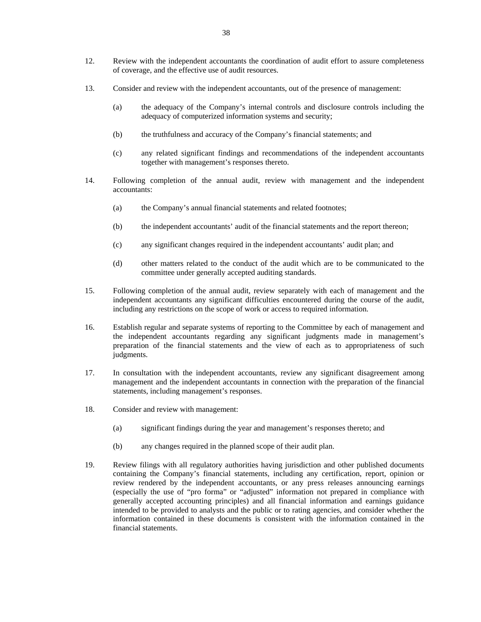- 12. Review with the independent accountants the coordination of audit effort to assure completeness of coverage, and the effective use of audit resources.
- 13. Consider and review with the independent accountants, out of the presence of management:
	- (a) the adequacy of the Company's internal controls and disclosure controls including the adequacy of computerized information systems and security;
	- (b) the truthfulness and accuracy of the Company's financial statements; and
	- (c) any related significant findings and recommendations of the independent accountants together with management's responses thereto.
- 14. Following completion of the annual audit, review with management and the independent accountants:
	- (a) the Company's annual financial statements and related footnotes;
	- (b) the independent accountants' audit of the financial statements and the report thereon;
	- (c) any significant changes required in the independent accountants' audit plan; and
	- (d) other matters related to the conduct of the audit which are to be communicated to the committee under generally accepted auditing standards.
- 15. Following completion of the annual audit, review separately with each of management and the independent accountants any significant difficulties encountered during the course of the audit, including any restrictions on the scope of work or access to required information.
- 16. Establish regular and separate systems of reporting to the Committee by each of management and the independent accountants regarding any significant judgments made in management's preparation of the financial statements and the view of each as to appropriateness of such judgments.
- 17. In consultation with the independent accountants, review any significant disagreement among management and the independent accountants in connection with the preparation of the financial statements, including management's responses.
- 18. Consider and review with management:
	- (a) significant findings during the year and management's responses thereto; and
	- (b) any changes required in the planned scope of their audit plan.
- 19. Review filings with all regulatory authorities having jurisdiction and other published documents containing the Company's financial statements, including any certification, report, opinion or review rendered by the independent accountants, or any press releases announcing earnings (especially the use of "pro forma" or "adjusted" information not prepared in compliance with generally accepted accounting principles) and all financial information and earnings guidance intended to be provided to analysts and the public or to rating agencies, and consider whether the information contained in these documents is consistent with the information contained in the financial statements.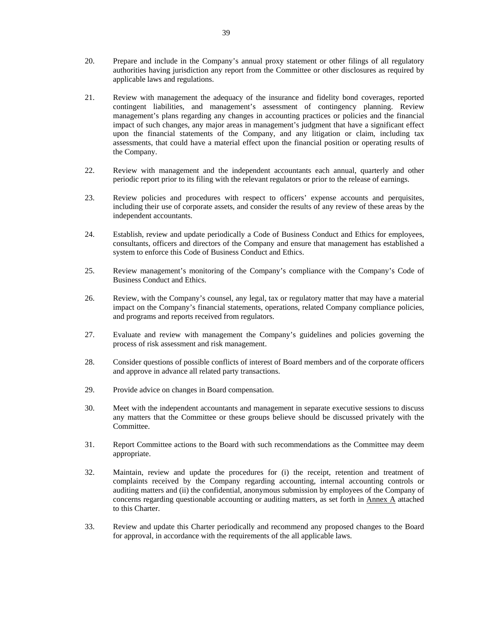- 20. Prepare and include in the Company's annual proxy statement or other filings of all regulatory authorities having jurisdiction any report from the Committee or other disclosures as required by applicable laws and regulations.
- 21. Review with management the adequacy of the insurance and fidelity bond coverages, reported contingent liabilities, and management's assessment of contingency planning. Review management's plans regarding any changes in accounting practices or policies and the financial impact of such changes, any major areas in management's judgment that have a significant effect upon the financial statements of the Company, and any litigation or claim, including tax assessments, that could have a material effect upon the financial position or operating results of the Company.
- 22. Review with management and the independent accountants each annual, quarterly and other periodic report prior to its filing with the relevant regulators or prior to the release of earnings.
- 23. Review policies and procedures with respect to officers' expense accounts and perquisites, including their use of corporate assets, and consider the results of any review of these areas by the independent accountants.
- 24. Establish, review and update periodically a Code of Business Conduct and Ethics for employees, consultants, officers and directors of the Company and ensure that management has established a system to enforce this Code of Business Conduct and Ethics.
- 25. Review management's monitoring of the Company's compliance with the Company's Code of Business Conduct and Ethics.
- 26. Review, with the Company's counsel, any legal, tax or regulatory matter that may have a material impact on the Company's financial statements, operations, related Company compliance policies, and programs and reports received from regulators.
- 27. Evaluate and review with management the Company's guidelines and policies governing the process of risk assessment and risk management.
- 28. Consider questions of possible conflicts of interest of Board members and of the corporate officers and approve in advance all related party transactions.
- 29. Provide advice on changes in Board compensation.
- 30. Meet with the independent accountants and management in separate executive sessions to discuss any matters that the Committee or these groups believe should be discussed privately with the Committee.
- 31. Report Committee actions to the Board with such recommendations as the Committee may deem appropriate.
- 32. Maintain, review and update the procedures for (i) the receipt, retention and treatment of complaints received by the Company regarding accounting, internal accounting controls or auditing matters and (ii) the confidential, anonymous submission by employees of the Company of concerns regarding questionable accounting or auditing matters, as set forth in Annex A attached to this Charter.
- 33. Review and update this Charter periodically and recommend any proposed changes to the Board for approval, in accordance with the requirements of the all applicable laws.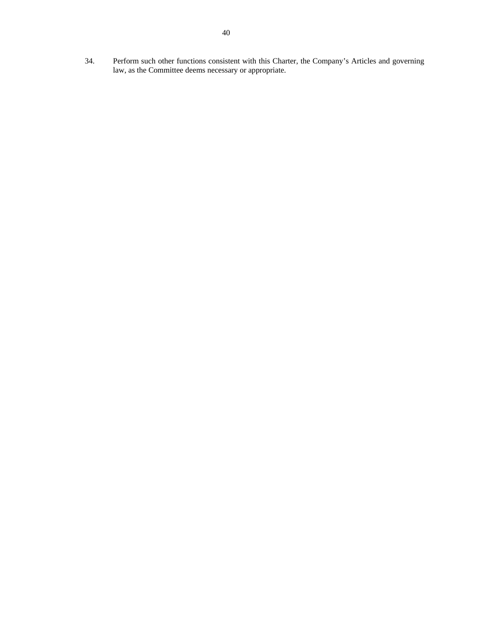34. Perform such other functions consistent with this Charter, the Company's Articles and governing law, as the Committee deems necessary or appropriate.